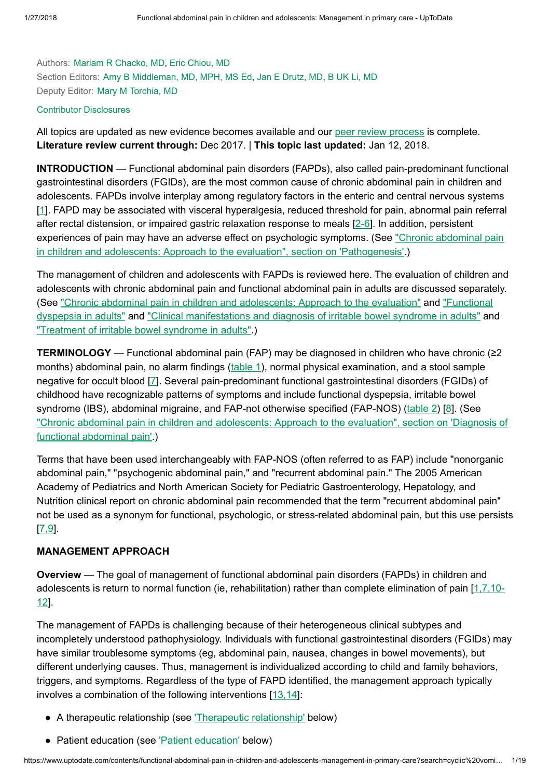Authors: Mariam R [Chacko,](https://www.uptodate.com/contents/functional-abdominal-pain-in-children-and-adolescents-management-in-primary-care/contributors) MD, Eric [Chiou,](https://www.uptodate.com/contents/functional-abdominal-pain-in-children-and-adolescents-management-in-primary-care/contributors) MD Section Editors: Amy B [Middleman,](https://www.uptodate.com/contents/functional-abdominal-pain-in-children-and-adolescents-management-in-primary-care/contributors) MD, MPH, MS Ed, Jan E [Drutz,](https://www.uptodate.com/contents/functional-abdominal-pain-in-children-and-adolescents-management-in-primary-care/contributors) MD, B UK Li, [MD](https://www.uptodate.com/contents/functional-abdominal-pain-in-children-and-adolescents-management-in-primary-care/contributors) Deputy Editor: Mary M [Torchia,](https://www.uptodate.com/contents/functional-abdominal-pain-in-children-and-adolescents-management-in-primary-care/contributors) MD

#### Contributor [Disclosures](https://www.uptodate.com/contents/functional-abdominal-pain-in-children-and-adolescents-management-in-primary-care/contributor-disclosure)

All topics are updated as new evidence becomes available and our peer review [process](https://www.uptodate.com/home/editorial-policy) is complete. Literature review current through: Dec 2017. | This topic last updated: Jan 12, 2018.

INTRODUCTION — Functional abdominal pain disorders (FAPDs), also called pain-predominant functional gastrointestinal disorders (FGIDs), are the most common cause of chronic abdominal pain in children and adolescents. FAPDs involve interplay among regulatory factors in the enteric and central nervous systems [[1\]](https://www.uptodate.com/contents/functional-abdominal-pain-in-children-and-adolescents-management-in-primary-care/abstract/1). FAPD may be associated with visceral hyperalgesia, reduced threshold for pain, abnormal pain referral after rectal distension, or impaired gastric relaxation response to meals [[2-6](https://www.uptodate.com/contents/functional-abdominal-pain-in-children-and-adolescents-management-in-primary-care/abstract/2-6)]. In addition, persistent experiences of pain may have an adverse effect on psychologic symptoms. (See "Chronic abdominal pain in children and adolescents: Approach to the evaluation", section on ['Pathogenesis'.\)](https://www.uptodate.com/contents/chronic-abdominal-pain-in-children-and-adolescents-approach-to-the-evaluation?sectionName=PATHOGENESIS&anchor=H6&source=see_link#H6)

The management of children and adolescents with FAPDs is reviewed here. The evaluation of children and adolescents with chronic abdominal pain and functional abdominal pain in adults are discussed separately. (See "Chronic [abdominal pain](https://www.uptodate.com/contents/chronic-abdominal-pain-in-children-and-adolescents-approach-to-the-evaluation?source=see_link) in children and adolescents: Approach to the evaluation" and "Functional dyspepsia in adults" and ["Clinical manifestations](https://www.uptodate.com/contents/functional-dyspepsia-in-adults?source=see_link) and diagnosis of irritable bowel syndrome in adults" and "Treatment of irritable [bowel syndrome](https://www.uptodate.com/contents/treatment-of-irritable-bowel-syndrome-in-adults?source=see_link) in adults".)

**TERMINOLOGY** — Functional abdominal pain (FAP) may be diagnosed in children who have chronic ( $\geq 2$ ) months) abdominal pain, no alarm findings [\(table](https://www.uptodate.com/contents/image?imageKey=PEDS%2F90721&topicKey=PEDS%2F112&search=cyclic+vomiting+children&rank=7%7E22&source=see_link) 1), normal physical examination, and a stool sample negative for occult blood [[7\]](https://www.uptodate.com/contents/functional-abdominal-pain-in-children-and-adolescents-management-in-primary-care/abstract/7). Several pain-predominant functional gastrointestinal disorders (FGIDs) of childhood have recognizable patterns of symptoms and include functional dyspepsia, irritable bowel syndrome (IBS), abdominal migraine, and FAP-not otherwise specified (FAP-NOS) [\(table](https://www.uptodate.com/contents/image?imageKey=PEDS%2F71435&topicKey=PEDS%2F112&search=cyclic+vomiting+children&rank=7%7E22&source=see_link) 2) [\[8](https://www.uptodate.com/contents/functional-abdominal-pain-in-children-and-adolescents-management-in-primary-care/abstract/8)]. (See "Chronic abdominal pain in children and adolescents: Approach to the evaluation", section on 'Diagnosis of [functional abdominal pain'.\)](https://www.uptodate.com/contents/chronic-abdominal-pain-in-children-and-adolescents-approach-to-the-evaluation?sectionName=Diagnosis+of+functional+abdominal+pain&anchor=H75070366&source=see_link#H75070366)

Terms that have been used interchangeably with FAP-NOS (often referred to as FAP) include "nonorganic abdominal pain," "psychogenic abdominal pain," and "recurrent abdominal pain." The 2005 American Academy of Pediatrics and North American Society for Pediatric Gastroenterology, Hepatology, and Nutrition clinical report on chronic abdominal pain recommended that the term "recurrent abdominal pain" not be used as a synonym for functional, psychologic, or stress-related abdominal pain, but this use persists [[7,9\]](https://www.uptodate.com/contents/functional-abdominal-pain-in-children-and-adolescents-management-in-primary-care/abstract/7,9).

### MANAGEMENT APPROACH

Overview — The goal of management of functional abdominal pain disorders (FAPDs) in children and adolescents is return to [normal function](https://www.uptodate.com/contents/functional-abdominal-pain-in-children-and-adolescents-management-in-primary-care/abstract/1,7,10-12) (ie, rehabilitation) rather than complete elimination of pain [1,7,10-12].

The management of FAPDs is challenging because of their heterogeneous clinical subtypes and incompletely understood pathophysiology. Individuals with functional gastrointestinal disorders (FGIDs) may have similar troublesome symptoms (eg, abdominal pain, nausea, changes in bowel movements), but different underlying causes. Thus, management is individualized according to child and family behaviors, triggers, and symptoms. Regardless of the type of FAPD identified, the management approach typically involves a combination of the following interventions [[13,14\]](https://www.uptodate.com/contents/functional-abdominal-pain-in-children-and-adolescents-management-in-primary-care/abstract/13,14):

- A therapeutic relationship (see *Therapeutic relationship'* below)
- Patient education (see 'Patient [education'](https://www.uptodate.com/contents/functional-abdominal-pain-in-children-and-adolescents-management-in-primary-care?search=cyclic%20vomiting%20children&source=search_result&selectedTitle=7~22&usage_type=default&display_rank=7#H4) below)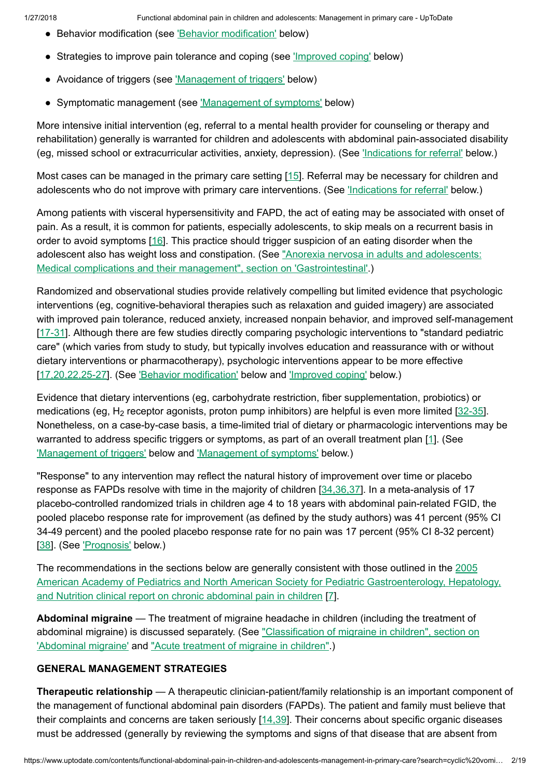- Behavior modification (see *Behavior [modification'](https://www.uptodate.com/contents/functional-abdominal-pain-in-children-and-adolescents-management-in-primary-care?search=cyclic%20vomiting%20children&source=search_result&selectedTitle=7~22&usage_type=default&display_rank=7#H571383545)* below)
- Strategies to improve pain tolerance and coping (see ['Improved](https://www.uptodate.com/contents/functional-abdominal-pain-in-children-and-adolescents-management-in-primary-care?search=cyclic%20vomiting%20children&source=search_result&selectedTitle=7~22&usage_type=default&display_rank=7#H255397635) coping' below)
- Avoidance of triggers (see ['Management](https://www.uptodate.com/contents/functional-abdominal-pain-in-children-and-adolescents-management-in-primary-care?search=cyclic%20vomiting%20children&source=search_result&selectedTitle=7~22&usage_type=default&display_rank=7#H67027703) of triggers' below)
- Symptomatic management (see ['Management](https://www.uptodate.com/contents/functional-abdominal-pain-in-children-and-adolescents-management-in-primary-care?search=cyclic%20vomiting%20children&source=search_result&selectedTitle=7~22&usage_type=default&display_rank=7#H67028267) of symptoms' below)

More intensive initial intervention (eg, referral to a mental health provider for counseling or therapy and rehabilitation) generally is warranted for children and adolescents with abdominal pain-associated disability (eg, missed school or extracurricular activities, anxiety, depression). (See ['Indications](https://www.uptodate.com/contents/functional-abdominal-pain-in-children-and-adolescents-management-in-primary-care?search=cyclic%20vomiting%20children&source=search_result&selectedTitle=7~22&usage_type=default&display_rank=7#H13) for referral' below.)

Most cases can be managed in the primary care setting [\[15](https://www.uptodate.com/contents/functional-abdominal-pain-in-children-and-adolescents-management-in-primary-care/abstract/15)]. Referral may be necessary for children and adolescents who do not improve with primary care interventions. (See *['Indications](https://www.uptodate.com/contents/functional-abdominal-pain-in-children-and-adolescents-management-in-primary-care?search=cyclic%20vomiting%20children&source=search_result&selectedTitle=7~22&usage_type=default&display_rank=7#H13) for referral'* below.)

Among patients with visceral hypersensitivity and FAPD, the act of eating may be associated with onset of pain. As a result, it is common for patients, especially adolescents, to skip meals on a recurrent basis in order to avoid symptoms [\[16](https://www.uptodate.com/contents/functional-abdominal-pain-in-children-and-adolescents-management-in-primary-care/abstract/16)]. This practice should trigger suspicion of an eating disorder when the adolescent also has weight loss and constipation. (See "Anorexia nervosa in adults and adolescents: [Medical complications](https://www.uptodate.com/contents/anorexia-nervosa-in-adults-and-adolescents-medical-complications-and-their-management?sectionName=GASTROINTESTINAL&anchor=H440145&source=see_link#H440145) and their management", section on 'Gastrointestinal'.)

Randomized and observational studies provide relatively compelling but limited evidence that psychologic interventions (eg, cognitive-behavioral therapies such as relaxation and guided imagery) are associated with improved pain tolerance, reduced anxiety, increased nonpain behavior, and improved self-management [[17-31](https://www.uptodate.com/contents/functional-abdominal-pain-in-children-and-adolescents-management-in-primary-care/abstract/17-31)]. Although there are few studies directly comparing psychologic interventions to "standard pediatric care" (which varies from study to study, but typically involves education and reassurance with or without dietary interventions or pharmacotherapy), psychologic interventions appear to be more effective [[17,20,22,25-27](https://www.uptodate.com/contents/functional-abdominal-pain-in-children-and-adolescents-management-in-primary-care/abstract/17,20,22,25-27)]. (See 'Behavior [modification'](https://www.uptodate.com/contents/functional-abdominal-pain-in-children-and-adolescents-management-in-primary-care?search=cyclic%20vomiting%20children&source=search_result&selectedTitle=7~22&usage_type=default&display_rank=7#H571383545) below and ['Improved](https://www.uptodate.com/contents/functional-abdominal-pain-in-children-and-adolescents-management-in-primary-care?search=cyclic%20vomiting%20children&source=search_result&selectedTitle=7~22&usage_type=default&display_rank=7#H255397635) coping' below.)

Evidence that dietary interventions (eg, carbohydrate restriction, fiber supplementation, probiotics) or medications (eg, H<sub>2</sub> receptor agonists, proton pump inhibitors) are helpful is even more limited [\[32-35\]](https://www.uptodate.com/contents/functional-abdominal-pain-in-children-and-adolescents-management-in-primary-care/abstract/32-35). Nonetheless, on a case-by-case basis, a time-limited trial of dietary or pharmacologic interventions may be warranted to address specific triggers or symptoms, as part of an overall treatment plan [\[1](https://www.uptodate.com/contents/functional-abdominal-pain-in-children-and-adolescents-management-in-primary-care/abstract/1)]. (See ['Management](https://www.uptodate.com/contents/functional-abdominal-pain-in-children-and-adolescents-management-in-primary-care?search=cyclic%20vomiting%20children&source=search_result&selectedTitle=7~22&usage_type=default&display_rank=7#H67027703) of triggers' below and ['Management](https://www.uptodate.com/contents/functional-abdominal-pain-in-children-and-adolescents-management-in-primary-care?search=cyclic%20vomiting%20children&source=search_result&selectedTitle=7~22&usage_type=default&display_rank=7#H67028267) of symptoms' below.)

"Response" to any intervention may reflect the natural history of improvement over time or placebo response as FAPDs resolve with time in the majority of children [[34,36,37\]](https://www.uptodate.com/contents/functional-abdominal-pain-in-children-and-adolescents-management-in-primary-care/abstract/34,36,37). In a meta-analysis of 17 placebo-controlled randomized trials in children age 4 to 18 years with abdominal pain-related FGID, the pooled placebo response rate for improvement (as defined by the study authors) was 41 percent (95% CI 34-49 percent) and the pooled placebo response rate for no pain was 17 percent (95% CI 8-32 percent) [[38\]](https://www.uptodate.com/contents/functional-abdominal-pain-in-children-and-adolescents-management-in-primary-care/abstract/38). (See ['Prognosis'](https://www.uptodate.com/contents/functional-abdominal-pain-in-children-and-adolescents-management-in-primary-care?search=cyclic%20vomiting%20children&source=search_result&selectedTitle=7~22&usage_type=default&display_rank=7#H15) below.)

The [recommendations](https://www.uptodate.com/external-redirect.do?target_url=http%3A%2F%2Fpediatrics.aappublications.org%2Fcontent%2F115%2F3%2F812.full.pdf%2Bhtml&TOPIC_ID=112) in the sections below are generally consistent with those outlined in the 2005 American Academy of Pediatrics and North American Society for Pediatric Gastroenterology, Hepatology, and Nutrition clinical report on chronic abdominal pain in children [\[7](https://www.uptodate.com/contents/functional-abdominal-pain-in-children-and-adolescents-management-in-primary-care/abstract/7)].

Abdominal migraine — The treatment of migraine headache in children (including the treatment of [abdominal migraine\)](https://www.uptodate.com/contents/classification-of-migraine-in-children?sectionName=Abdominal+migraine&anchor=H12&source=see_link#H12) is discussed separately. (See "Classification of migraine in children", section on 'Abdominal migraine' and "Acute [treatment](https://www.uptodate.com/contents/acute-treatment-of-migraine-in-children?source=see_link) of migraine in children".)

## GENERAL MANAGEMENT STRATEGIES

Therapeutic relationship — A therapeutic clinician-patient/family relationship is an important component of the management of functional abdominal pain disorders (FAPDs). The patient and family must believe that their complaints and concerns are taken seriously  $[14,39]$  $[14,39]$ . Their concerns about specific organic diseases must be addressed (generally by reviewing the symptoms and signs of that disease that are absent from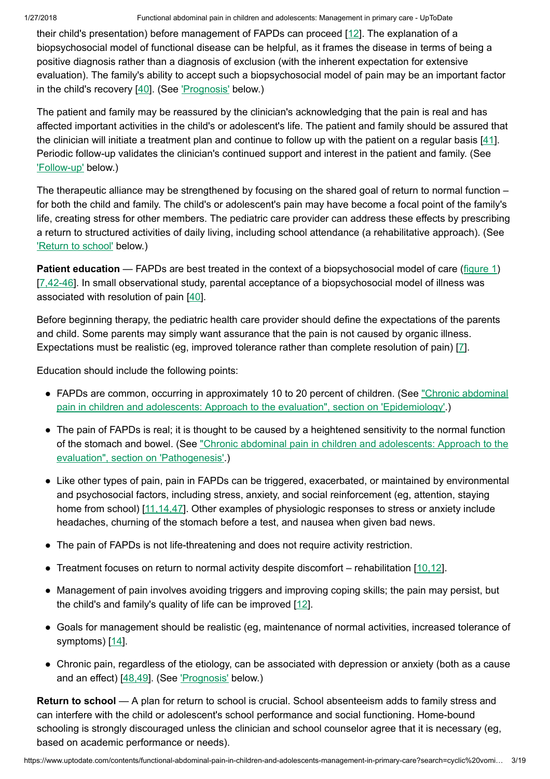their child's presentation) before management of FAPDs can proceed [\[12](https://www.uptodate.com/contents/functional-abdominal-pain-in-children-and-adolescents-management-in-primary-care/abstract/12)]. The explanation of a biopsychosocial model of functional disease can be helpful, as it frames the disease in terms of being a positive diagnosis rather than a diagnosis of exclusion (with the inherent expectation for extensive evaluation). The family's ability to accept such a biopsychosocial model of pain may be an important factor in the child's recovery [\[40](https://www.uptodate.com/contents/functional-abdominal-pain-in-children-and-adolescents-management-in-primary-care/abstract/40)]. (See ['Prognosis'](https://www.uptodate.com/contents/functional-abdominal-pain-in-children-and-adolescents-management-in-primary-care?search=cyclic%20vomiting%20children&source=search_result&selectedTitle=7~22&usage_type=default&display_rank=7#H15) below.)

The patient and family may be reassured by the clinician's acknowledging that the pain is real and has affected important activities in the child's or adolescent's life. The patient and family should be assured that the clinician will initiate a treatment plan and continue to follow up with the patient on a regular basis [[41\]](https://www.uptodate.com/contents/functional-abdominal-pain-in-children-and-adolescents-management-in-primary-care/abstract/41). Periodic follow-up validates the clinician's continued support and interest in the patient and family. (See ['Follow-up'](https://www.uptodate.com/contents/functional-abdominal-pain-in-children-and-adolescents-management-in-primary-care?search=cyclic%20vomiting%20children&source=search_result&selectedTitle=7~22&usage_type=default&display_rank=7#H12) below.)

The therapeutic alliance may be strengthened by focusing on the shared goal of return to normal function – for both the child and family. The child's or adolescent's pain may have become a focal point of the family's life, creating stress for other members. The pediatric care provider can address these effects by prescribing a return to structured activities of daily living, including school attendance (a rehabilitative approach). (See ['Return](https://www.uptodate.com/contents/functional-abdominal-pain-in-children-and-adolescents-management-in-primary-care?search=cyclic%20vomiting%20children&source=search_result&selectedTitle=7~22&usage_type=default&display_rank=7#H255397623) to school' below.)

**Patient education** — FAPDs are best treated in the context of a biopsychosocial model of care ([figure](https://www.uptodate.com/contents/image?imageKey=PEDS%2F90722&topicKey=PEDS%2F112&search=cyclic+vomiting+children&rank=7%7E22&source=see_link) 1) [[7,42-46](https://www.uptodate.com/contents/functional-abdominal-pain-in-children-and-adolescents-management-in-primary-care/abstract/7,42-46)]. In small observational study, parental acceptance of a biopsychosocial model of illness was associated with resolution of pain  $[40]$  $[40]$ .

Before beginning therapy, the pediatric health care provider should define the expectations of the parents and child. Some parents may simply want assurance that the pain is not caused by organic illness. Expectations must be realistic (eg, improved tolerance rather than complete resolution of pain) [\[7](https://www.uptodate.com/contents/functional-abdominal-pain-in-children-and-adolescents-management-in-primary-care/abstract/7)].

Education should include the following points:

- FAPDs are common, occurring in approximately 10 to 20 percent of children. (See "Chronic abdominal pain in children and adolescents: Approach to the evaluation", section on ['Epidemiology'.\)](https://www.uptodate.com/contents/chronic-abdominal-pain-in-children-and-adolescents-approach-to-the-evaluation?sectionName=EPIDEMIOLOGY&anchor=H5&source=see_link#H5)
- The pain of FAPDs is real; it is thought to be caused by a heightened sensitivity to the normal function of the stomach and bowel. (See "Chronic abdominal pain in children and adolescents: Approach to the evaluation", section on ['Pathogenesis'.\)](https://www.uptodate.com/contents/chronic-abdominal-pain-in-children-and-adolescents-approach-to-the-evaluation?sectionName=PATHOGENESIS&anchor=H6&source=see_link#H6)
- Like other types of pain, pain in FAPDs can be triggered, exacerbated, or maintained by environmental and psychosocial factors, including stress, anxiety, and social reinforcement (eg, attention, staying home from school) [11, 14, 47]. Other examples of physiologic responses to stress or anxiety include headaches, churning of the stomach before a test, and nausea when given bad news.
- The pain of FAPDs is not life-threatening and does not require activity restriction.
- Treatment focuses on return to normal activity despite discomfort rehabilitation  $[10,12]$  $[10,12]$ .
- Management of pain involves avoiding triggers and improving coping skills; the pain may persist, but the child's and family's quality of life can be improved [[12\]](https://www.uptodate.com/contents/functional-abdominal-pain-in-children-and-adolescents-management-in-primary-care/abstract/12).
- Goals for management should be realistic (eg, maintenance of normal activities, increased tolerance of symptoms) [[14\]](https://www.uptodate.com/contents/functional-abdominal-pain-in-children-and-adolescents-management-in-primary-care/abstract/14).
- Chronic pain, regardless of the etiology, can be associated with depression or anxiety (both as a cause ●and an effect) [\[48,49](https://www.uptodate.com/contents/functional-abdominal-pain-in-children-and-adolescents-management-in-primary-care/abstract/48,49)]. (See ['Prognosis'](https://www.uptodate.com/contents/functional-abdominal-pain-in-children-and-adolescents-management-in-primary-care?search=cyclic%20vomiting%20children&source=search_result&selectedTitle=7~22&usage_type=default&display_rank=7#H15) below.)

Return to school — A plan for return to school is crucial. School absenteeism adds to family stress and can interfere with the child or adolescent's school performance and social functioning. Home-bound schooling is strongly discouraged unless the clinician and school counselor agree that it is necessary (eg, based on academic performance or needs).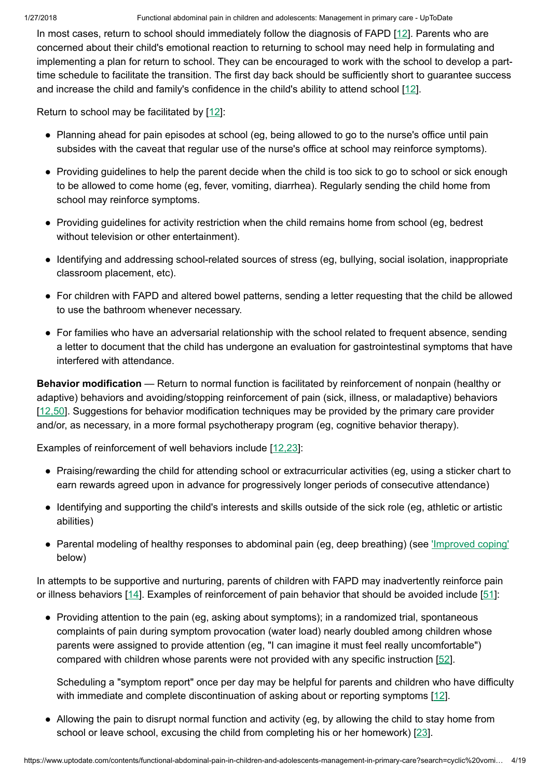In most cases, return to school should immediately follow the diagnosis of FAPD [[12\]](https://www.uptodate.com/contents/functional-abdominal-pain-in-children-and-adolescents-management-in-primary-care/abstract/12). Parents who are concerned about their child's emotional reaction to returning to school may need help in formulating and implementing a plan for return to school. They can be encouraged to work with the school to develop a parttime schedule to facilitate the transition. The first day back should be sufficiently short to guarantee success and increase the child and family's confidence in the child's ability to attend school [[12\]](https://www.uptodate.com/contents/functional-abdominal-pain-in-children-and-adolescents-management-in-primary-care/abstract/12).

Return to school may be facilitated by  $[12]$  $[12]$ :

- Planning ahead for pain episodes at school (eg, being allowed to go to the nurse's office until pain subsides with the caveat that regular use of the nurse's office at school may reinforce symptoms).
- Providing guidelines to help the parent decide when the child is too sick to go to school or sick enough to be allowed to come home (eg, fever, vomiting, diarrhea). Regularly sending the child home from school may reinforce symptoms.
- Providing guidelines for activity restriction when the child remains home from school (eg, bedrest without television or other entertainment).
- Identifying and addressing school-related sources of stress (eg, bullying, social isolation, inappropriate classroom placement, etc).
- For children with FAPD and altered bowel patterns, sending a letter requesting that the child be allowed to use the bathroom whenever necessary.
- For families who have an adversarial relationship with the school related to frequent absence, sending a letter to document that the child has undergone an evaluation for gastrointestinal symptoms that have interfered with attendance.

Behavior modification — Return to normal function is facilitated by reinforcement of nonpain (healthy or adaptive) behaviors and avoiding/stopping reinforcement of pain (sick, illness, or maladaptive) behaviors [[12,50\]](https://www.uptodate.com/contents/functional-abdominal-pain-in-children-and-adolescents-management-in-primary-care/abstract/12,50). Suggestions for behavior modification techniques may be provided by the primary care provider and/or, as necessary, in a more formal psychotherapy program (eg, cognitive behavior therapy).

Examples of reinforcement of well behaviors include [\[12,23](https://www.uptodate.com/contents/functional-abdominal-pain-in-children-and-adolescents-management-in-primary-care/abstract/12,23)]:

- Praising/rewarding the child for attending school or extracurricular activities (eg, using a sticker chart to earn rewards agreed upon in advance for progressively longer periods of consecutive attendance)
- Identifying and supporting the child's interests and skills outside of the sick role (eg, athletic or artistic abilities)
- Parental modeling of healthy responses to abdominal pain (eg, deep breathing) (see *['Improved](https://www.uptodate.com/contents/functional-abdominal-pain-in-children-and-adolescents-management-in-primary-care?search=cyclic%20vomiting%20children&source=search_result&selectedTitle=7~22&usage_type=default&display_rank=7#H255397635) coping'* below)

In attempts to be supportive and nurturing, parents of children with FAPD may inadvertently reinforce pain or illness behaviors [[14\]](https://www.uptodate.com/contents/functional-abdominal-pain-in-children-and-adolescents-management-in-primary-care/abstract/14). Examples of reinforcement of pain behavior that should be avoided include [[51\]](https://www.uptodate.com/contents/functional-abdominal-pain-in-children-and-adolescents-management-in-primary-care/abstract/51):

• Providing attention to the pain (eg, asking about symptoms); in a randomized trial, spontaneous complaints of pain during symptom provocation (water load) nearly doubled among children whose parents were assigned to provide attention (eg, "I can imagine it must feel really uncomfortable") compared with children whose parents were not provided with any specific instruction [[52\]](https://www.uptodate.com/contents/functional-abdominal-pain-in-children-and-adolescents-management-in-primary-care/abstract/52).

Scheduling a "symptom report" once per day may be helpful for parents and children who have difficulty with immediate and complete discontinuation of asking about or reporting symptoms [\[12](https://www.uptodate.com/contents/functional-abdominal-pain-in-children-and-adolescents-management-in-primary-care/abstract/12)].

• Allowing the pain to disrupt normal function and activity (eg, by allowing the child to stay home from school or leave school, excusing the child from completing his or her homework) [[23\]](https://www.uptodate.com/contents/functional-abdominal-pain-in-children-and-adolescents-management-in-primary-care/abstract/23).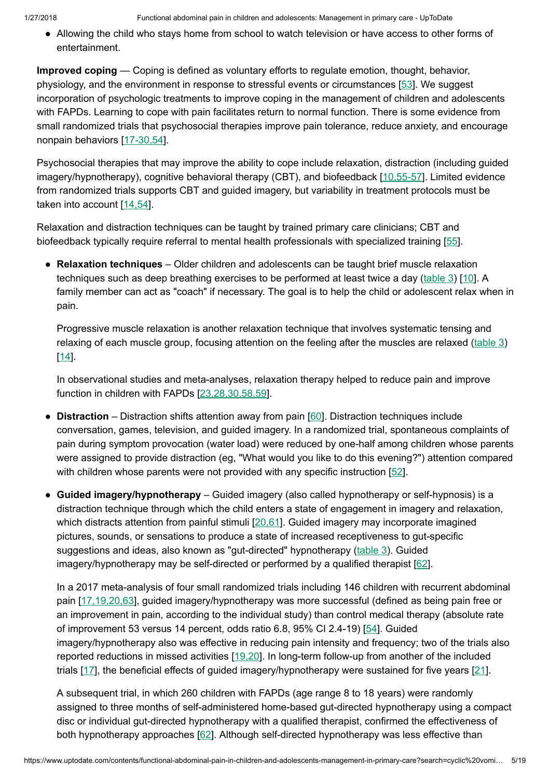• Allowing the child who stays home from school to watch television or have access to other forms of entertainment.

Improved coping — Coping is defined as voluntary efforts to regulate emotion, thought, behavior, physiology, and the environment in response to stressful events or circumstances [\[53](https://www.uptodate.com/contents/functional-abdominal-pain-in-children-and-adolescents-management-in-primary-care/abstract/53)]. We suggest incorporation of psychologic treatments to improve coping in the management of children and adolescents with FAPDs. Learning to cope with pain facilitates return to normal function. There is some evidence from small randomized trials that psychosocial therapies improve pain tolerance, reduce anxiety, and encourage nonpain behaviors [\[17-30,54\]](https://www.uptodate.com/contents/functional-abdominal-pain-in-children-and-adolescents-management-in-primary-care/abstract/17-30,54).

Psychosocial therapies that may improve the ability to cope include relaxation, distraction (including guided imagery/hypnotherapy), cognitive behavioral therapy (CBT), and biofeedback [[10,55-57\]](https://www.uptodate.com/contents/functional-abdominal-pain-in-children-and-adolescents-management-in-primary-care/abstract/10,55-57). Limited evidence from randomized trials supports CBT and guided imagery, but variability in treatment protocols must be taken into account [\[14,54](https://www.uptodate.com/contents/functional-abdominal-pain-in-children-and-adolescents-management-in-primary-care/abstract/14,54)].

Relaxation and distraction techniques can be taught by trained primary care clinicians; CBT and biofeedback typically require referral to mental health professionals with specialized training [\[55](https://www.uptodate.com/contents/functional-abdominal-pain-in-children-and-adolescents-management-in-primary-care/abstract/55)].

• Relaxation techniques – Older children and adolescents can be taught brief muscle relaxation techniques such as deep breathing exercises to be performed at least twice a day [\(table](https://www.uptodate.com/contents/image?imageKey=PEDS%2F90731&topicKey=PEDS%2F112&search=cyclic+vomiting+children&rank=7%7E22&source=see_link) 3) [\[10](https://www.uptodate.com/contents/functional-abdominal-pain-in-children-and-adolescents-management-in-primary-care/abstract/10)]. A family member can act as "coach" if necessary. The goal is to help the child or adolescent relax when in pain.

Progressive muscle relaxation is another relaxation technique that involves systematic tensing and relaxing of each muscle group, focusing attention on the feeling after the muscles are relaxed [\(table](https://www.uptodate.com/contents/image?imageKey=PEDS%2F90731&topicKey=PEDS%2F112&search=cyclic+vomiting+children&rank=7%7E22&source=see_link) 3) [\[14](https://www.uptodate.com/contents/functional-abdominal-pain-in-children-and-adolescents-management-in-primary-care/abstract/14)].

In observational studies and meta-analyses, relaxation therapy helped to reduce pain and improve function in children with FAPDs [[23,28,30,58,59\]](https://www.uptodate.com/contents/functional-abdominal-pain-in-children-and-adolescents-management-in-primary-care/abstract/23,28,30,58,59).

- Distraction Distraction shifts attention away from pain [[60\]](https://www.uptodate.com/contents/functional-abdominal-pain-in-children-and-adolescents-management-in-primary-care/abstract/60). Distraction techniques include conversation, games, television, and guided imagery. In a randomized trial, spontaneous complaints of pain during symptom provocation (water load) were reduced by one-half among children whose parents were assigned to provide distraction (eg, "What would you like to do this evening?") attention compared with children whose parents were not provided with any specific instruction [[52\]](https://www.uptodate.com/contents/functional-abdominal-pain-in-children-and-adolescents-management-in-primary-care/abstract/52).
- Guided imagery/hypnotherapy Guided imagery (also called hypnotherapy or self-hypnosis) is a distraction technique through which the child enters a state of engagement in imagery and relaxation, which distracts attention from painful stimuli [[20,61\]](https://www.uptodate.com/contents/functional-abdominal-pain-in-children-and-adolescents-management-in-primary-care/abstract/20,61). Guided imagery may incorporate imagined pictures, sounds, or sensations to produce a state of increased receptiveness to gut-specific suggestions and ideas, also known as "gut-directed" hypnotherapy [\(table](https://www.uptodate.com/contents/image?imageKey=PEDS%2F90731&topicKey=PEDS%2F112&search=cyclic+vomiting+children&rank=7%7E22&source=see_link) 3). Guided imagery/hypnotherapy may be self-directed or performed by a qualified therapist [[62\]](https://www.uptodate.com/contents/functional-abdominal-pain-in-children-and-adolescents-management-in-primary-care/abstract/62).

In a 2017 meta-analysis of four small randomized trials including 146 children with recurrent abdominal pain [[17,19,20,63\]](https://www.uptodate.com/contents/functional-abdominal-pain-in-children-and-adolescents-management-in-primary-care/abstract/17,19,20,63), guided imagery/hypnotherapy was more successful (defined as being pain free or an improvement in pain, according to the individual study) than control medical therapy (absolute rate of improvement 53 versus 14 percent, odds ratio 6.8, 95% CI 2.4-19) [[54\]](https://www.uptodate.com/contents/functional-abdominal-pain-in-children-and-adolescents-management-in-primary-care/abstract/54). Guided imagery/hypnotherapy also was effective in reducing pain intensity and frequency; two of the trials also reported reductions in missed activities [\[19,20](https://www.uptodate.com/contents/functional-abdominal-pain-in-children-and-adolescents-management-in-primary-care/abstract/19,20)]. In long-term follow-up from another of the included trials [[17\]](https://www.uptodate.com/contents/functional-abdominal-pain-in-children-and-adolescents-management-in-primary-care/abstract/17), the beneficial effects of guided imagery/hypnotherapy were sustained for five years [[21\]](https://www.uptodate.com/contents/functional-abdominal-pain-in-children-and-adolescents-management-in-primary-care/abstract/21).

A subsequent trial, in which 260 children with FAPDs (age range 8 to 18 years) were randomly assigned to three months of self-administered home-based gut-directed hypnotherapy using a compact disc or individual gut-directed hypnotherapy with a qualified therapist, confirmed the effectiveness of both hypnotherapy approaches [[62\]](https://www.uptodate.com/contents/functional-abdominal-pain-in-children-and-adolescents-management-in-primary-care/abstract/62). Although self-directed hypnotherapy was less effective than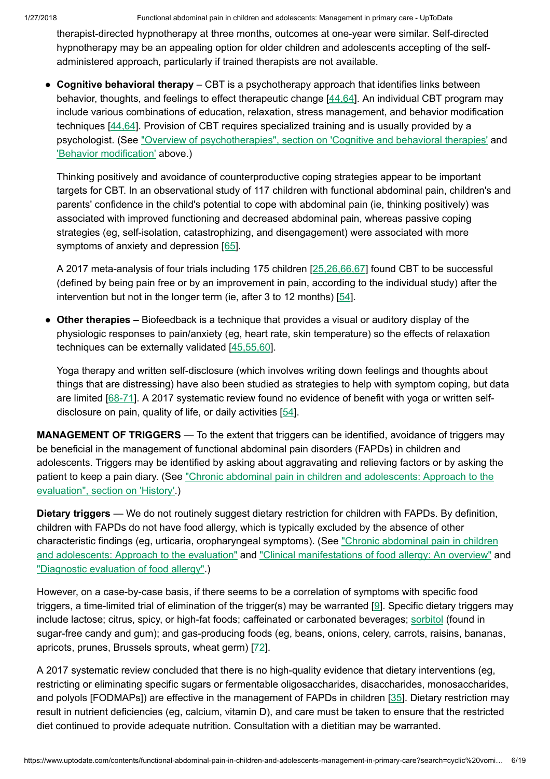therapist-directed hypnotherapy at three months, outcomes at one-year were similar. Self-directed hypnotherapy may be an appealing option for older children and adolescents accepting of the selfadministered approach, particularly if trained therapists are not available.

• Cognitive behavioral therapy – CBT is a psychotherapy approach that identifies links between behavior, thoughts, and feelings to effect therapeutic change [\[44,64](https://www.uptodate.com/contents/functional-abdominal-pain-in-children-and-adolescents-management-in-primary-care/abstract/44,64)]. An individual CBT program may include various combinations of education, relaxation, stress management, and behavior modification techniques [[44,64\]](https://www.uptodate.com/contents/functional-abdominal-pain-in-children-and-adolescents-management-in-primary-care/abstract/44,64). Provision of CBT requires specialized training and is usually provided by a psychologist. (See "Overview of psychotherapies", section on 'Cognitive and [behavioral therapies'](https://www.uptodate.com/contents/overview-of-psychotherapies?sectionName=Cognitive+and+behavioral+therapies&anchor=H432862147&source=see_link#H432862147) and 'Behavior [modification'](https://www.uptodate.com/contents/functional-abdominal-pain-in-children-and-adolescents-management-in-primary-care?search=cyclic%20vomiting%20children&source=search_result&selectedTitle=7~22&usage_type=default&display_rank=7#H571383545) above.)

Thinking positively and avoidance of counterproductive coping strategies appear to be important targets for CBT. In an observational study of 117 children with functional abdominal pain, children's and parents' confidence in the child's potential to cope with abdominal pain (ie, thinking positively) was associated with improved functioning and decreased abdominal pain, whereas passive coping strategies (eg, self-isolation, catastrophizing, and disengagement) were associated with more symptoms of anxiety and depression [[65\]](https://www.uptodate.com/contents/functional-abdominal-pain-in-children-and-adolescents-management-in-primary-care/abstract/65).

A 2017 meta-analysis of four trials including 175 children [\[25,26,66,67](https://www.uptodate.com/contents/functional-abdominal-pain-in-children-and-adolescents-management-in-primary-care/abstract/25,26,66,67)] found CBT to be successful (defined by being pain free or by an improvement in pain, according to the individual study) after the intervention but not in the longer term (ie, after 3 to 12 months) [\[54](https://www.uptodate.com/contents/functional-abdominal-pain-in-children-and-adolescents-management-in-primary-care/abstract/54)].

• Other therapies – Biofeedback is a technique that provides a visual or auditory display of the physiologic responses to pain/anxiety (eg, heart rate, skin temperature) so the effects of relaxation techniques can be externally validated [\[45,55,60](https://www.uptodate.com/contents/functional-abdominal-pain-in-children-and-adolescents-management-in-primary-care/abstract/45,55,60)].

Yoga therapy and written self-disclosure (which involves writing down feelings and thoughts about things that are distressing) have also been studied as strategies to help with symptom coping, but data are limited [[68-71\]](https://www.uptodate.com/contents/functional-abdominal-pain-in-children-and-adolescents-management-in-primary-care/abstract/68-71). A 2017 systematic review found no evidence of benefit with yoga or written selfdisclosure on pain, quality of life, or daily activities [[54\]](https://www.uptodate.com/contents/functional-abdominal-pain-in-children-and-adolescents-management-in-primary-care/abstract/54).

MANAGEMENT OF TRIGGERS — To the extent that triggers can be identified, avoidance of triggers may be beneficial in the management of functional abdominal pain disorders (FAPDs) in children and adolescents. Triggers may be identified by asking about aggravating and relieving factors or by asking the patient to keep a pain diary. (See "Chronic [abdominal pain](https://www.uptodate.com/contents/chronic-abdominal-pain-in-children-and-adolescents-approach-to-the-evaluation?sectionName=History&anchor=H18&source=see_link#H18) in children and adolescents: Approach to the evaluation", section on 'History'.)

Dietary triggers — We do not routinely suggest dietary restriction for children with FAPDs. By definition, children with FAPDs do not have food allergy, which is typically excluded by the absence of other characteristic findings (eg, urticaria, [oropharyngeal symptoms\).](https://www.uptodate.com/contents/chronic-abdominal-pain-in-children-and-adolescents-approach-to-the-evaluation?source=see_link) (See "Chronic abdominal pain in children and adolescents: Approach to the evaluation" and ["Clinical manifestations](https://www.uptodate.com/contents/clinical-manifestations-of-food-allergy-an-overview?source=see_link) of food allergy: An overview" and ["Diagnostic](https://www.uptodate.com/contents/diagnostic-evaluation-of-food-allergy?source=see_link) evaluation of food allergy".)

However, on a case-by-case basis, if there seems to be a correlation of symptoms with specific food triggers, a time-limited trial of elimination of the trigger(s) may be warranted [[9\]](https://www.uptodate.com/contents/functional-abdominal-pain-in-children-and-adolescents-management-in-primary-care/abstract/9). Specific dietary triggers may include lactose; citrus, spicy, or high-fat foods; caffeinated or carbonated beverages; [sorbitol](https://www.uptodate.com/contents/sorbitol-pediatric-drug-information?source=see_link) (found in sugar-free candy and gum); and gas-producing foods (eg, beans, onions, celery, carrots, raisins, bananas, apricots, prunes, Brussels sprouts, wheat germ) [\[72](https://www.uptodate.com/contents/functional-abdominal-pain-in-children-and-adolescents-management-in-primary-care/abstract/72)].

A 2017 systematic review concluded that there is no high-quality evidence that dietary interventions (eg, restricting or eliminating specific sugars or fermentable oligosaccharides, disaccharides, monosaccharides, and polyols [FODMAPs]) are effective in the management of FAPDs in children [[35\]](https://www.uptodate.com/contents/functional-abdominal-pain-in-children-and-adolescents-management-in-primary-care/abstract/35). Dietary restriction may result in nutrient deficiencies (eg, calcium, vitamin D), and care must be taken to ensure that the restricted diet continued to provide adequate nutrition. Consultation with a dietitian may be warranted.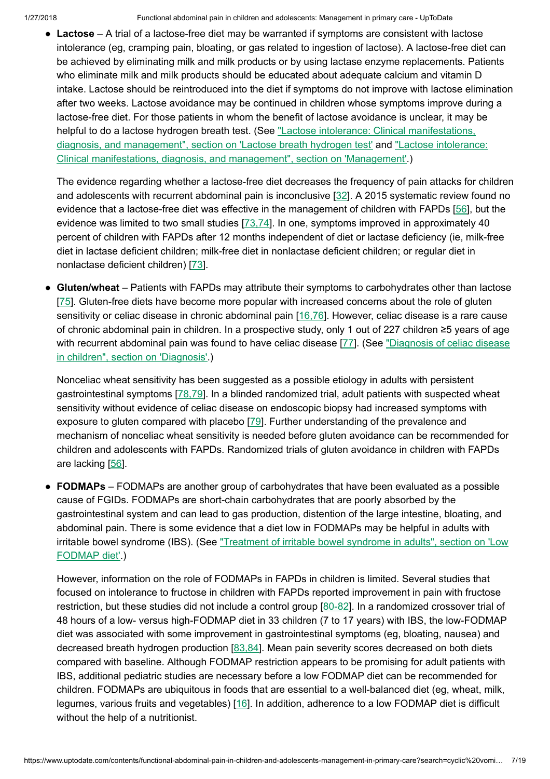• Lactose – A trial of a lactose-free diet may be warranted if symptoms are consistent with lactose intolerance (eg, cramping pain, bloating, or gas related to ingestion of lactose). A lactose-free diet can be achieved by eliminating milk and milk products or by using lactase enzyme replacements. Patients who eliminate milk and milk products should be educated about adequate calcium and vitamin D intake. Lactose should be reintroduced into the diet if symptoms do not improve with lactose elimination after two weeks. Lactose avoidance may be continued in children whose symptoms improve during a lactose-free diet. For those patients in whom the benefit of lactose avoidance is unclear, it may be helpful to do a lactose hydrogen breath test. (See "Lactose intolerance: [Clinical manifestations,](https://www.uptodate.com/contents/lactose-intolerance-clinical-manifestations-diagnosis-and-management?sectionName=Lactose+breath+hydrogen+test&anchor=H14&source=see_link#H14) diagnosis, and management", section on 'Lactose breath hydrogen test' and "Lactose intolerance: [Clinical manifestations,](https://www.uptodate.com/contents/lactose-intolerance-clinical-manifestations-diagnosis-and-management?sectionName=MANAGEMENT&anchor=H17&source=see_link#H17) diagnosis, and management", section on 'Management'.)

The evidence regarding whether a lactose-free diet decreases the frequency of pain attacks for children and adolescents with recurrent abdominal pain is inconclusive [[32\]](https://www.uptodate.com/contents/functional-abdominal-pain-in-children-and-adolescents-management-in-primary-care/abstract/32). A 2015 systematic review found no evidence that a lactose-free diet was effective in the management of children with FAPDs [\[56](https://www.uptodate.com/contents/functional-abdominal-pain-in-children-and-adolescents-management-in-primary-care/abstract/56)], but the evidence was limited to two small studies  $[73,74]$  $[73,74]$ . In one, symptoms improved in approximately 40 percent of children with FAPDs after 12 months independent of diet or lactase deficiency (ie, milk-free diet in lactase deficient children; milk-free diet in nonlactase deficient children; or regular diet in nonlactase deficient children) [[73\]](https://www.uptodate.com/contents/functional-abdominal-pain-in-children-and-adolescents-management-in-primary-care/abstract/73).

• Gluten/wheat – Patients with FAPDs may attribute their symptoms to carbohydrates other than lactose [\[75](https://www.uptodate.com/contents/functional-abdominal-pain-in-children-and-adolescents-management-in-primary-care/abstract/75)]. Gluten-free diets have become more popular with increased concerns about the role of gluten sensitivity or celiac disease in chronic abdominal pain [\[16,76](https://www.uptodate.com/contents/functional-abdominal-pain-in-children-and-adolescents-management-in-primary-care/abstract/16,76)]. However, celiac disease is a rare cause of chronic abdominal pain in children. In a prospective study, only 1 out of 227 children ≥5 years of age with recurrent [abdominal pain](https://www.uptodate.com/contents/diagnosis-of-celiac-disease-in-children?sectionName=DIAGNOSIS&anchor=H477996429&source=see_link#H477996429) was found to have celiac disease [\[77](https://www.uptodate.com/contents/functional-abdominal-pain-in-children-and-adolescents-management-in-primary-care/abstract/77)]. (See "Diagnosis of celiac disease in children", section on 'Diagnosis'.)

Nonceliac wheat sensitivity has been suggested as a possible etiology in adults with persistent gastrointestinal symptoms [[78,79\]](https://www.uptodate.com/contents/functional-abdominal-pain-in-children-and-adolescents-management-in-primary-care/abstract/78,79). In a blinded randomized trial, adult patients with suspected wheat sensitivity without evidence of celiac disease on endoscopic biopsy had increased symptoms with exposure to gluten compared with placebo [[79\]](https://www.uptodate.com/contents/functional-abdominal-pain-in-children-and-adolescents-management-in-primary-care/abstract/79). Further understanding of the prevalence and mechanism of nonceliac wheat sensitivity is needed before gluten avoidance can be recommended for children and adolescents with FAPDs. Randomized trials of gluten avoidance in children with FAPDs are lacking [[56\]](https://www.uptodate.com/contents/functional-abdominal-pain-in-children-and-adolescents-management-in-primary-care/abstract/56).

• FODMAPs – FODMAPs are another group of carbohydrates that have been evaluated as a possible cause of FGIDs. FODMAPs are short-chain carbohydrates that are poorly absorbed by the gastrointestinal system and can lead to gas production, distention of the large intestine, bloating, and abdominal pain. There is some evidence that a diet low in FODMAPs may be helpful in adults with irritable bowel syndrome (IBS). (See "Treatment of irritable [bowel syndrome](https://www.uptodate.com/contents/treatment-of-irritable-bowel-syndrome-in-adults?sectionName=Low+FODMAP+diet&anchor=H86846749&source=see_link#H86846749) in adults", section on 'Low FODMAP diet'.)

However, information on the role of FODMAPs in FAPDs in children is limited. Several studies that focused on intolerance to fructose in children with FAPDs reported improvement in pain with fructose restriction, but these studies did not include a control group [\[80-82](https://www.uptodate.com/contents/functional-abdominal-pain-in-children-and-adolescents-management-in-primary-care/abstract/80-82)]. In a randomized crossover trial of 48 hours of a low- versus high-FODMAP diet in 33 children (7 to 17 years) with IBS, the low-FODMAP diet was associated with some improvement in gastrointestinal symptoms (eg, bloating, nausea) and decreased breath hydrogen production [\[83,84](https://www.uptodate.com/contents/functional-abdominal-pain-in-children-and-adolescents-management-in-primary-care/abstract/83,84)]. Mean pain severity scores decreased on both diets compared with baseline. Although FODMAP restriction appears to be promising for adult patients with IBS, additional pediatric studies are necessary before a low FODMAP diet can be recommended for children. FODMAPs are ubiquitous in foods that are essential to a well-balanced diet (eg, wheat, milk, legumes, various fruits and vegetables) [[16\]](https://www.uptodate.com/contents/functional-abdominal-pain-in-children-and-adolescents-management-in-primary-care/abstract/16). In addition, adherence to a low FODMAP diet is difficult without the help of a nutritionist.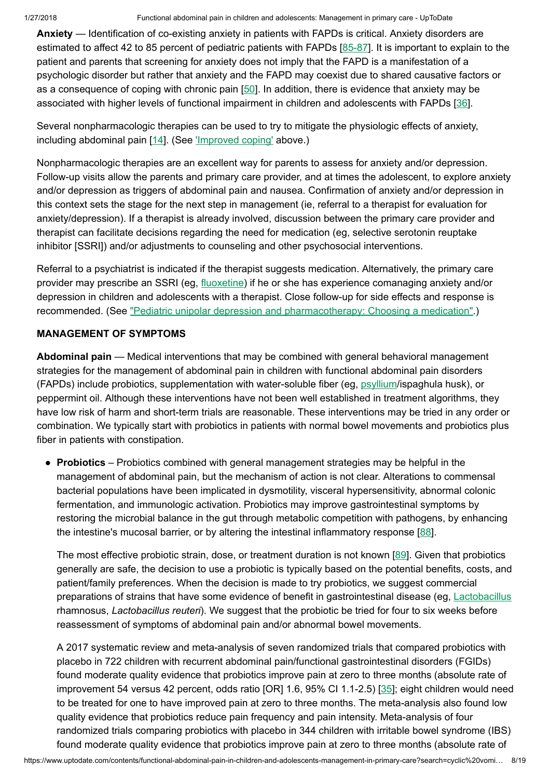Anxiety — Identification of co-existing anxiety in patients with FAPDs is critical. Anxiety disorders are estimated to affect 42 to 85 percent of pediatric patients with FAPDs [\[85-87](https://www.uptodate.com/contents/functional-abdominal-pain-in-children-and-adolescents-management-in-primary-care/abstract/85-87)]. It is important to explain to the patient and parents that screening for anxiety does not imply that the FAPD is a manifestation of a psychologic disorder but rather that anxiety and the FAPD may coexist due to shared causative factors or as a consequence of coping with chronic pain [[50\]](https://www.uptodate.com/contents/functional-abdominal-pain-in-children-and-adolescents-management-in-primary-care/abstract/50). In addition, there is evidence that anxiety may be associated with higher levels of functional impairment in children and adolescents with FAPDs [\[36\]](https://www.uptodate.com/contents/functional-abdominal-pain-in-children-and-adolescents-management-in-primary-care/abstract/36).

Several nonpharmacologic therapies can be used to try to mitigate the physiologic effects of anxiety, including abdominal pain [[14\]](https://www.uptodate.com/contents/functional-abdominal-pain-in-children-and-adolescents-management-in-primary-care/abstract/14). (See ['Improved](https://www.uptodate.com/contents/functional-abdominal-pain-in-children-and-adolescents-management-in-primary-care?search=cyclic%20vomiting%20children&source=search_result&selectedTitle=7~22&usage_type=default&display_rank=7#H255397635) coping' above.)

Nonpharmacologic therapies are an excellent way for parents to assess for anxiety and/or depression. Follow-up visits allow the parents and primary care provider, and at times the adolescent, to explore anxiety and/or depression as triggers of abdominal pain and nausea. Confirmation of anxiety and/or depression in this context sets the stage for the next step in management (ie, referral to a therapist for evaluation for anxiety/depression). If a therapist is already involved, discussion between the primary care provider and therapist can facilitate decisions regarding the need for medication (eg, selective serotonin reuptake inhibitor [SSRI]) and/or adjustments to counseling and other psychosocial interventions.

Referral to a psychiatrist is indicated if the therapist suggests medication. Alternatively, the primary care provider may prescribe an SSRI (eg, [fluoxetine\)](https://www.uptodate.com/contents/fluoxetine-pediatric-drug-information?source=see_link) if he or she has experience comanaging anxiety and/or depression in children and adolescents with a therapist. Close follow-up for side effects and response is recommended. (See "Pediatric unipolar depression and [pharmacotherapy:](https://www.uptodate.com/contents/pediatric-unipolar-depression-and-pharmacotherapy-choosing-a-medication?source=see_link) Choosing a medication".)

# MANAGEMENT OF SYMPTOMS

Abdominal pain — Medical interventions that may be combined with general behavioral management strategies for the management of abdominal pain in children with functional abdominal pain disorders (FAPDs) include probiotics, supplementation with water-soluble fiber (eg, [psyllium/](https://www.uptodate.com/contents/psyllium-pediatric-drug-information?source=see_link)ispaghula husk), or peppermint oil. Although these interventions have not been well established in treatment algorithms, they have low risk of harm and short-term trials are reasonable. These interventions may be tried in any order or combination. We typically start with probiotics in patients with normal bowel movements and probiotics plus fiber in patients with constipation.

• Probiotics – Probiotics combined with general management strategies may be helpful in the management of abdominal pain, but the mechanism of action is not clear. Alterations to commensal bacterial populations have been implicated in dysmotility, visceral hypersensitivity, abnormal colonic fermentation, and immunologic activation. Probiotics may improve gastrointestinal symptoms by restoring the microbial balance in the gut through metabolic competition with pathogens, by enhancing the intestine's mucosal barrier, or by altering the intestinal inflammatory response [\[88](https://www.uptodate.com/contents/functional-abdominal-pain-in-children-and-adolescents-management-in-primary-care/abstract/88)].

The most effective probiotic strain, dose, or treatment duration is not known [\[89](https://www.uptodate.com/contents/functional-abdominal-pain-in-children-and-adolescents-management-in-primary-care/abstract/89)]. Given that probiotics generally are safe, the decision to use a probiotic is typically based on the potential benefits, costs, and patient/family preferences. When the decision is made to try probiotics, we suggest commercial preparations of strains that have some evidence of benefit in gastrointestinal disease (eg, [Lactobacillus](https://www.uptodate.com/contents/lactobacillus-pediatric-drug-information?source=see_link) rhamnosus, Lactobacillus reuteri). We suggest that the probiotic be tried for four to six weeks before reassessment of symptoms of abdominal pain and/or abnormal bowel movements.

A 2017 systematic review and meta-analysis of seven randomized trials that compared probiotics with placebo in 722 children with recurrent abdominal pain/functional gastrointestinal disorders (FGIDs) found moderate quality evidence that probiotics improve pain at zero to three months (absolute rate of improvement 54 versus 42 percent, odds ratio [OR] 1.6, 95% CI 1.1-2.5) [\[35](https://www.uptodate.com/contents/functional-abdominal-pain-in-children-and-adolescents-management-in-primary-care/abstract/35)]; eight children would need to be treated for one to have improved pain at zero to three months. The meta-analysis also found low quality evidence that probiotics reduce pain frequency and pain intensity. Meta-analysis of four randomized trials comparing probiotics with placebo in 344 children with irritable bowel syndrome (IBS) found moderate quality evidence that probiotics improve pain at zero to three months (absolute rate of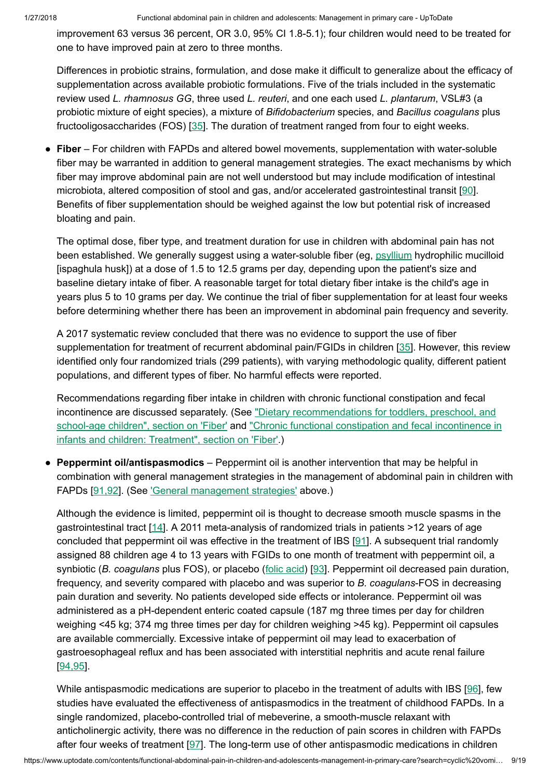improvement 63 versus 36 percent, OR 3.0, 95% CI 1.8-5.1); four children would need to be treated for one to have improved pain at zero to three months.

Differences in probiotic strains, formulation, and dose make it difficult to generalize about the efficacy of supplementation across available probiotic formulations. Five of the trials included in the systematic review used L. rhamnosus GG, three used L. reuteri, and one each used L. plantarum, VSL#3 (a probiotic mixture of eight species), a mixture of Bifidobacterium species, and Bacillus coagulans plus fructooligosaccharides (FOS) [[35\]](https://www.uptodate.com/contents/functional-abdominal-pain-in-children-and-adolescents-management-in-primary-care/abstract/35). The duration of treatment ranged from four to eight weeks.

• Fiber – For children with FAPDs and altered bowel movements, supplementation with water-soluble fiber may be warranted in addition to general management strategies. The exact mechanisms by which fiber may improve abdominal pain are not well understood but may include modification of intestinal microbiota, altered composition of stool and gas, and/or accelerated gastrointestinal transit [\[90\]](https://www.uptodate.com/contents/functional-abdominal-pain-in-children-and-adolescents-management-in-primary-care/abstract/90). Benefits of fiber supplementation should be weighed against the low but potential risk of increased bloating and pain.

The optimal dose, fiber type, and treatment duration for use in children with abdominal pain has not been established. We generally suggest using a water-soluble fiber (eg, [psyllium](https://www.uptodate.com/contents/psyllium-pediatric-drug-information?source=see_link) hydrophilic mucilloid [ispaghula husk]) at a dose of 1.5 to 12.5 grams per day, depending upon the patient's size and baseline dietary intake of fiber. A reasonable target for total dietary fiber intake is the child's age in years plus 5 to 10 grams per day. We continue the trial of fiber supplementation for at least four weeks before determining whether there has been an improvement in abdominal pain frequency and severity.

A 2017 systematic review concluded that there was no evidence to support the use of fiber supplementation for treatment of recurrent abdominal pain/FGIDs in children [[35\]](https://www.uptodate.com/contents/functional-abdominal-pain-in-children-and-adolescents-management-in-primary-care/abstract/35). However, this review identified only four randomized trials (299 patients), with varying methodologic quality, different patient populations, and different types of fiber. No harmful effects were reported.

Recommendations regarding fiber intake in children with chronic functional constipation and fecal incontinence are discussed separately. (See "Dietary recommendations for toddlers, preschool, and school-age children", section on 'Fiber' and "Chronic [functional constipation](https://www.uptodate.com/contents/chronic-functional-constipation-and-fecal-incontinence-in-infants-and-children-treatment?sectionName=Fiber&anchor=H12&source=see_link#H12) and fecal incontinence in infants and children: Treatment", section on 'Fiber'.)

• Peppermint oil/antispasmodics – Peppermint oil is another intervention that may be helpful in combination with general management strategies in the management of abdominal pain in children with FAPDs [\[91,92](https://www.uptodate.com/contents/functional-abdominal-pain-in-children-and-adolescents-management-in-primary-care/abstract/91,92)]. (See ['General management](https://www.uptodate.com/contents/functional-abdominal-pain-in-children-and-adolescents-management-in-primary-care?search=cyclic%20vomiting%20children&source=search_result&selectedTitle=7~22&usage_type=default&display_rank=7#H67027684) strategies' above.)

Although the evidence is limited, peppermint oil is thought to decrease smooth muscle spasms in the gastrointestinal tract [\[14](https://www.uptodate.com/contents/functional-abdominal-pain-in-children-and-adolescents-management-in-primary-care/abstract/14)]. A 2011 meta-analysis of randomized trials in patients >12 years of age concluded that peppermint oil was effective in the treatment of IBS [[91\]](https://www.uptodate.com/contents/functional-abdominal-pain-in-children-and-adolescents-management-in-primary-care/abstract/91). A subsequent trial randomly assigned 88 children age 4 to 13 years with FGIDs to one month of treatment with peppermint oil, a synbiotic (B. coagulans plus FOS), or placebo (folic [acid](https://www.uptodate.com/contents/folic-acid-pediatric-drug-information?source=see_link)) [[93\]](https://www.uptodate.com/contents/functional-abdominal-pain-in-children-and-adolescents-management-in-primary-care/abstract/93). Peppermint oil decreased pain duration, frequency, and severity compared with placebo and was superior to B. coagulans-FOS in decreasing pain duration and severity. No patients developed side effects or intolerance. Peppermint oil was administered as a pH-dependent enteric coated capsule (187 mg three times per day for children weighing <45 kg; 374 mg three times per day for children weighing >45 kg). Peppermint oil capsules are available commercially. Excessive intake of peppermint oil may lead to exacerbation of gastroesophageal reflux and has been associated with interstitial nephritis and acute renal failure [\[94,95](https://www.uptodate.com/contents/functional-abdominal-pain-in-children-and-adolescents-management-in-primary-care/abstract/94,95)].

While antispasmodic medications are superior to placebo in the treatment of adults with IBS [\[96](https://www.uptodate.com/contents/functional-abdominal-pain-in-children-and-adolescents-management-in-primary-care/abstract/96)], few studies have evaluated the effectiveness of antispasmodics in the treatment of childhood FAPDs. In a single randomized, placebo-controlled trial of mebeverine, a smooth-muscle relaxant with anticholinergic activity, there was no difference in the reduction of pain scores in children with FAPDs after four weeks of treatment [[97\]](https://www.uptodate.com/contents/functional-abdominal-pain-in-children-and-adolescents-management-in-primary-care/abstract/97). The long-term use of other antispasmodic medications in children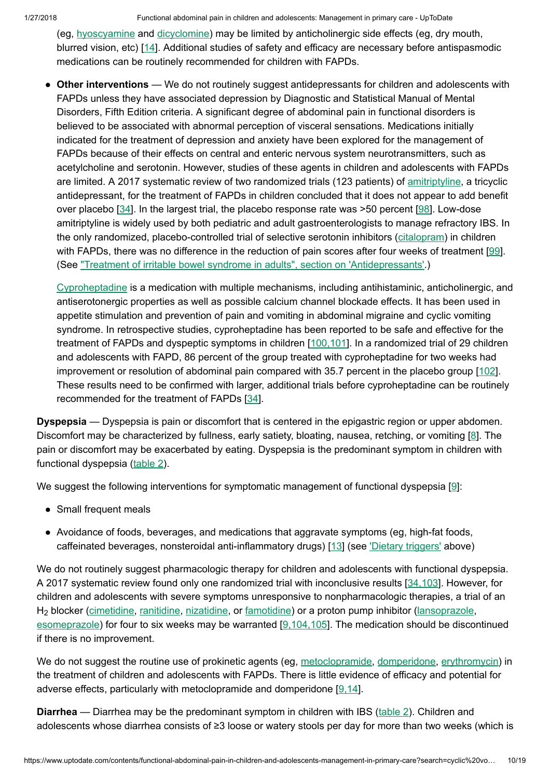1/27/2018 Functional abdominal pain in children and adolescents: Management in primary care - UpToDate

(eg, [hyoscyamine](https://www.uptodate.com/contents/hyoscyamine-pediatric-drug-information?source=see_link) and [dicyclomine](https://www.uptodate.com/contents/dicyclomine-dicycloverine-pediatric-drug-information?source=see_link)) may be limited by anticholinergic side effects (eg, dry mouth, blurred vision, etc) [[14\]](https://www.uptodate.com/contents/functional-abdominal-pain-in-children-and-adolescents-management-in-primary-care/abstract/14). Additional studies of safety and efficacy are necessary before antispasmodic medications can be routinely recommended for children with FAPDs.

• Other interventions — We do not routinely suggest antidepressants for children and adolescents with FAPDs unless they have associated depression by Diagnostic and Statistical Manual of Mental Disorders, Fifth Edition criteria. A significant degree of abdominal pain in functional disorders is believed to be associated with abnormal perception of visceral sensations. Medications initially indicated for the treatment of depression and anxiety have been explored for the management of FAPDs because of their effects on central and enteric nervous system neurotransmitters, such as acetylcholine and serotonin. However, studies of these agents in children and adolescents with FAPDs are limited. A 2017 systematic review of two randomized trials (123 patients) of [amitriptyline,](https://www.uptodate.com/contents/amitriptyline-pediatric-drug-information?source=see_link) a tricyclic antidepressant, for the treatment of FAPDs in children concluded that it does not appear to add benefit over placebo [[34\]](https://www.uptodate.com/contents/functional-abdominal-pain-in-children-and-adolescents-management-in-primary-care/abstract/34). In the largest trial, the placebo response rate was >50 percent [[98\]](https://www.uptodate.com/contents/functional-abdominal-pain-in-children-and-adolescents-management-in-primary-care/abstract/98). Low-dose amitriptyline is widely used by both pediatric and adult gastroenterologists to manage refractory IBS. In the only randomized, placebo-controlled trial of selective serotonin inhibitors [\(citalopram\)](https://www.uptodate.com/contents/citalopram-pediatric-drug-information?source=see_link) in children with FAPDs, there was no difference in the reduction of pain scores after four weeks of treatment [\[99](https://www.uptodate.com/contents/functional-abdominal-pain-in-children-and-adolescents-management-in-primary-care/abstract/99)]. (See "Treatment of irritable bowel syndrome in adults", section on ['Antidepressants'.](https://www.uptodate.com/contents/treatment-of-irritable-bowel-syndrome-in-adults?sectionName=Antidepressants&anchor=H15&source=see_link#H15))

[Cyproheptadine](https://www.uptodate.com/contents/cyproheptadine-pediatric-drug-information?source=see_link) is a medication with multiple mechanisms, including antihistaminic, anticholinergic, and antiserotonergic properties as well as possible calcium channel blockade effects. It has been used in appetite stimulation and prevention of pain and vomiting in abdominal migraine and cyclic vomiting syndrome. In retrospective studies, cyproheptadine has been reported to be safe and effective for the treatment of FAPDs and dyspeptic symptoms in children [[100,101\]](https://www.uptodate.com/contents/functional-abdominal-pain-in-children-and-adolescents-management-in-primary-care/abstract/100,101). In a randomized trial of 29 children and adolescents with FAPD, 86 percent of the group treated with cyproheptadine for two weeks had improvement or resolution of abdominal pain compared with 35.7 percent in the placebo group [[102\]](https://www.uptodate.com/contents/functional-abdominal-pain-in-children-and-adolescents-management-in-primary-care/abstract/102). These results need to be confirmed with larger, additional trials before cyproheptadine can be routinely recommended for the treatment of FAPDs [[34\]](https://www.uptodate.com/contents/functional-abdominal-pain-in-children-and-adolescents-management-in-primary-care/abstract/34).

Dyspepsia — Dyspepsia is pain or discomfort that is centered in the epigastric region or upper abdomen. Discomfort may be characterized by fullness, early satiety, bloating, nausea, retching, or vomiting [\[8](https://www.uptodate.com/contents/functional-abdominal-pain-in-children-and-adolescents-management-in-primary-care/abstract/8)]. The pain or discomfort may be exacerbated by eating. Dyspepsia is the predominant symptom in children with functional dyspepsia ([table](https://www.uptodate.com/contents/image?imageKey=PEDS%2F71435&topicKey=PEDS%2F112&search=cyclic+vomiting+children&rank=7%7E22&source=see_link) 2).

We suggest the following interventions for symptomatic management of functional dyspepsia [\[9](https://www.uptodate.com/contents/functional-abdominal-pain-in-children-and-adolescents-management-in-primary-care/abstract/9)]:

- Small frequent meals
- Avoidance of foods, beverages, and medications that aggravate symptoms (eg, high-fat foods, caffeinated beverages, nonsteroidal anti-inflammatory drugs) [[13\]](https://www.uptodate.com/contents/functional-abdominal-pain-in-children-and-adolescents-management-in-primary-care/abstract/13) (see 'Dietary [triggers'](https://www.uptodate.com/contents/functional-abdominal-pain-in-children-and-adolescents-management-in-primary-care?search=cyclic%20vomiting%20children&source=search_result&selectedTitle=7~22&usage_type=default&display_rank=7#H495530705) above)

We do not routinely suggest pharmacologic therapy for children and adolescents with functional dyspepsia. A 2017 systematic review found only one randomized trial with inconclusive results [[34,103](https://www.uptodate.com/contents/functional-abdominal-pain-in-children-and-adolescents-management-in-primary-care/abstract/34,103)]. However, for children and adolescents with severe symptoms unresponsive to nonpharmacologic therapies, a trial of an H<sub>2</sub> blocker ([cimetidine](https://www.uptodate.com/contents/cimetidine-pediatric-drug-information?source=see_link), [ranitidine,](https://www.uptodate.com/contents/ranitidine-pediatric-drug-information?source=see_link) [nizatidine,](https://www.uptodate.com/contents/nizatidine-pediatric-drug-information?source=see_link) or [famotidine](https://www.uptodate.com/contents/famotidine-pediatric-drug-information?source=see_link)) or a proton pump inhibitor [\(lansoprazole,](https://www.uptodate.com/contents/lansoprazole-pediatric-drug-information?source=see_link) [esomeprazole\)](https://www.uptodate.com/contents/esomeprazole-pediatric-drug-information?source=see_link) for four to six weeks may be warranted [[9,104,105\]](https://www.uptodate.com/contents/functional-abdominal-pain-in-children-and-adolescents-management-in-primary-care/abstract/9,104,105). The medication should be discontinued if there is no improvement.

We do not suggest the routine use of prokinetic agents (eg, [metoclopramide,](https://www.uptodate.com/contents/metoclopramide-pediatric-drug-information?source=see_link) [domperidone,](https://www.uptodate.com/contents/domperidone-united-states-available-via-fda-investigational-drug-ind-protocol-only-drug-information?source=see_link) [erythromycin](https://www.uptodate.com/contents/erythromycin-pediatric-drug-information?source=see_link)) in the treatment of children and adolescents with FAPDs. There is little evidence of efficacy and potential for adverse effects, particularly with metoclopramide and domperidone [[9,14\]](https://www.uptodate.com/contents/functional-abdominal-pain-in-children-and-adolescents-management-in-primary-care/abstract/9,14).

Diarrhea — Diarrhea may be the predominant symptom in children with IBS [\(table](https://www.uptodate.com/contents/image?imageKey=PEDS%2F71435&topicKey=PEDS%2F112&search=cyclic+vomiting+children&rank=7%7E22&source=see_link) 2). Children and adolescents whose diarrhea consists of ≥3 loose or watery stools per day for more than two weeks (which is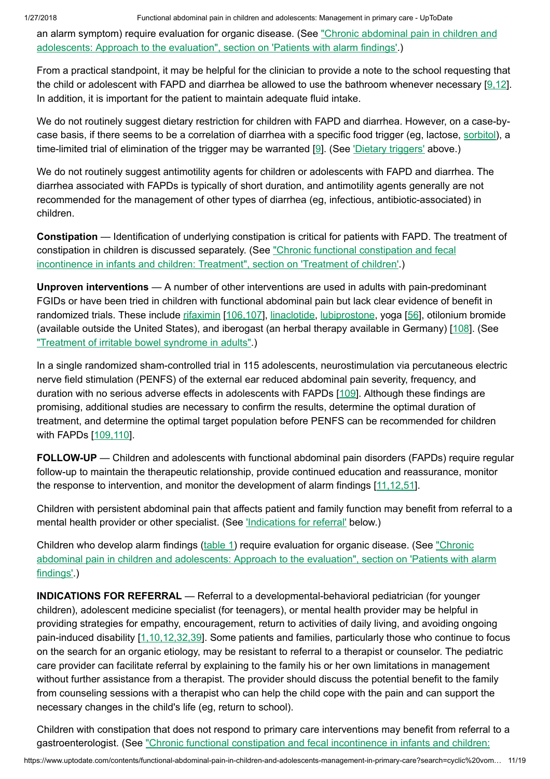an alarm symptom) require evaluation for organic disease. (See "Chronic [abdominal pain](https://www.uptodate.com/contents/chronic-abdominal-pain-in-children-and-adolescents-approach-to-the-evaluation?sectionName=PATIENTS+WITH+ALARM+FINDINGS&anchor=H24&source=see_link#H24) in children and adolescents: Approach to the evaluation", section on 'Patients with alarm findings'.)

From a practical standpoint, it may be helpful for the clinician to provide a note to the school requesting that the child or adolescent with FAPD and diarrhea be allowed to use the bathroom whenever necessary  $[9,12]$  $[9,12]$ . In addition, it is important for the patient to maintain adequate fluid intake.

We do not routinely suggest dietary restriction for children with FAPD and diarrhea. However, on a case-bycase basis, if there seems to be a correlation of diarrhea with a specific food trigger (eg, lactose, [sorbitol](https://www.uptodate.com/contents/sorbitol-pediatric-drug-information?source=see_link)), a time-limited trial of elimination of the trigger may be warranted [\[9](https://www.uptodate.com/contents/functional-abdominal-pain-in-children-and-adolescents-management-in-primary-care/abstract/9)]. (See 'Dietary [triggers'](https://www.uptodate.com/contents/functional-abdominal-pain-in-children-and-adolescents-management-in-primary-care?search=cyclic%20vomiting%20children&source=search_result&selectedTitle=7~22&usage_type=default&display_rank=7#H495530705) above.)

We do not routinely suggest antimotility agents for children or adolescents with FAPD and diarrhea. The diarrhea associated with FAPDs is typically of short duration, and antimotility agents generally are not recommended for the management of other types of diarrhea (eg, infectious, antibiotic-associated) in children.

Constipation — Identification of underlying constipation is critical for patients with FAPD. The treatment of constipation in children is discussed separately. (See "Chronic [functional constipation](https://www.uptodate.com/contents/chronic-functional-constipation-and-fecal-incontinence-in-infants-and-children-treatment?sectionName=TREATMENT+OF+CHILDREN&anchor=H3&source=see_link#H3) and fecal incontinence in infants and children: Treatment", section on 'Treatment of children'.)

Unproven interventions — A number of other interventions are used in adults with pain-predominant FGIDs or have been tried in children with functional abdominal pain but lack clear evidence of benefit in randomized trials. These include [rifaximin](https://www.uptodate.com/contents/rifaximin-pediatric-drug-information?source=see_link) [\[106,107](https://www.uptodate.com/contents/functional-abdominal-pain-in-children-and-adolescents-management-in-primary-care/abstract/106,107)], [linaclotide](https://www.uptodate.com/contents/linaclotide-drug-information?source=see_link), [lubiprostone,](https://www.uptodate.com/contents/lubiprostone-drug-information?source=see_link) yoga [[56\]](https://www.uptodate.com/contents/functional-abdominal-pain-in-children-and-adolescents-management-in-primary-care/abstract/56), otilonium bromide (available outside the United States), and iberogast (an herbal therapy available in Germany) [[108\]](https://www.uptodate.com/contents/functional-abdominal-pain-in-children-and-adolescents-management-in-primary-care/abstract/108). (See "Treatment of irritable [bowel syndrome](https://www.uptodate.com/contents/treatment-of-irritable-bowel-syndrome-in-adults?source=see_link) in adults".)

In a single randomized sham-controlled trial in 115 adolescents, neurostimulation via percutaneous electric nerve field stimulation (PENFS) of the external ear reduced abdominal pain severity, frequency, and duration with no serious adverse effects in adolescents with FAPDs [[109\]](https://www.uptodate.com/contents/functional-abdominal-pain-in-children-and-adolescents-management-in-primary-care/abstract/109). Although these findings are promising, additional studies are necessary to confirm the results, determine the optimal duration of treatment, and determine the optimal target population before PENFS can be recommended for children with FAPDs [[109,110\]](https://www.uptodate.com/contents/functional-abdominal-pain-in-children-and-adolescents-management-in-primary-care/abstract/109,110).

FOLLOW-UP — Children and adolescents with functional abdominal pain disorders (FAPDs) require regular follow-up to maintain the therapeutic relationship, provide continued education and reassurance, monitor the response to intervention, and monitor the development of alarm findings [\[11,12,51](https://www.uptodate.com/contents/functional-abdominal-pain-in-children-and-adolescents-management-in-primary-care/abstract/11,12,51)].

Children with persistent abdominal pain that affects patient and family function may benefit from referral to a mental health provider or other specialist. (See ['Indications](https://www.uptodate.com/contents/functional-abdominal-pain-in-children-and-adolescents-management-in-primary-care?search=cyclic%20vomiting%20children&source=search_result&selectedTitle=7~22&usage_type=default&display_rank=7#H13) for referral' below.)

Children who develop alarm findings [\(table](https://www.uptodate.com/contents/image?imageKey=PEDS%2F90721&topicKey=PEDS%2F112&search=cyclic+vomiting+children&rank=7%7E22&source=see_link) 1) require evaluation for organic disease. (See "Chronic [abdominal pain](https://www.uptodate.com/contents/chronic-abdominal-pain-in-children-and-adolescents-approach-to-the-evaluation?sectionName=PATIENTS+WITH+ALARM+FINDINGS&anchor=H24&source=see_link#H24) in children and adolescents: Approach to the evaluation", section on 'Patients with alarm findings'.)

INDICATIONS FOR REFERRAL — Referral to a developmental-behavioral pediatrician (for younger children), adolescent medicine specialist (for teenagers), or mental health provider may be helpful in providing strategies for empathy, encouragement, return to activities of daily living, and avoiding ongoing pain-induced disability [\[1,10,12,32,39](https://www.uptodate.com/contents/functional-abdominal-pain-in-children-and-adolescents-management-in-primary-care/abstract/1,10,12,32,39)]. Some patients and families, particularly those who continue to focus on the search for an organic etiology, may be resistant to referral to a therapist or counselor. The pediatric care provider can facilitate referral by explaining to the family his or her own limitations in management without further assistance from a therapist. The provider should discuss the potential benefit to the family from counseling sessions with a therapist who can help the child cope with the pain and can support the necessary changes in the child's life (eg, return to school).

Children with constipation that does not respond to primary care interventions may benefit from referral to a gastroenterologist. (See "Chronic [functional constipation](https://www.uptodate.com/contents/chronic-functional-constipation-and-fecal-incontinence-in-infants-and-children-treatment?source=see_link) and fecal incontinence in infants and children: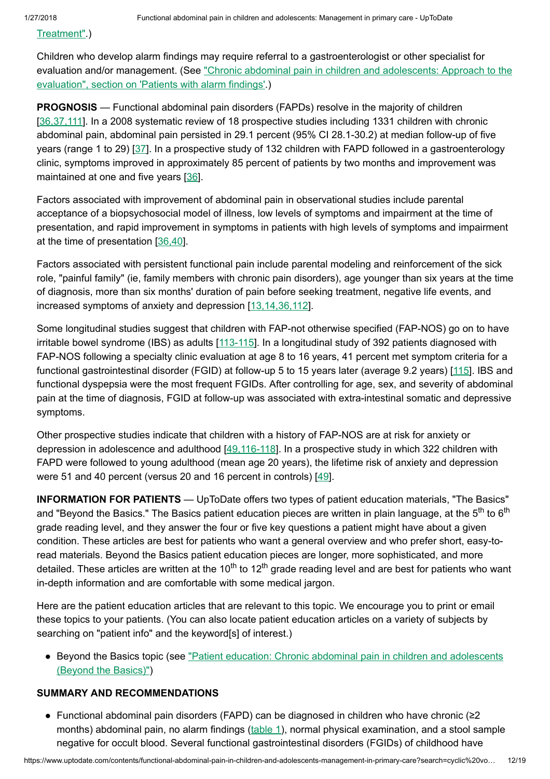[Treatment".\)](https://www.uptodate.com/contents/chronic-functional-constipation-and-fecal-incontinence-in-infants-and-children-treatment?source=see_link)

Children who develop alarm findings may require referral to a gastroenterologist or other specialist for evaluation and/or management. (See "Chronic [abdominal pain](https://www.uptodate.com/contents/chronic-abdominal-pain-in-children-and-adolescents-approach-to-the-evaluation?sectionName=PATIENTS+WITH+ALARM+FINDINGS&anchor=H24&source=see_link#H24) in children and adolescents: Approach to the evaluation", section on 'Patients with alarm findings'.)

PROGNOSIS — Functional abdominal pain disorders (FAPDs) resolve in the majority of children [[36,37,111](https://www.uptodate.com/contents/functional-abdominal-pain-in-children-and-adolescents-management-in-primary-care/abstract/36,37,111)]. In a 2008 systematic review of 18 prospective studies including 1331 children with chronic abdominal pain, abdominal pain persisted in 29.1 percent (95% CI 28.1-30.2) at median follow-up of five years (range 1 to 29) [\[37](https://www.uptodate.com/contents/functional-abdominal-pain-in-children-and-adolescents-management-in-primary-care/abstract/37)]. In a prospective study of 132 children with FAPD followed in a gastroenterology clinic, symptoms improved in approximately 85 percent of patients by two months and improvement was maintained at one and five years [[36\]](https://www.uptodate.com/contents/functional-abdominal-pain-in-children-and-adolescents-management-in-primary-care/abstract/36).

Factors associated with improvement of abdominal pain in observational studies include parental acceptance of a biopsychosocial model of illness, low levels of symptoms and impairment at the time of presentation, and rapid improvement in symptoms in patients with high levels of symptoms and impairment at the time of presentation [[36,40\]](https://www.uptodate.com/contents/functional-abdominal-pain-in-children-and-adolescents-management-in-primary-care/abstract/36,40).

Factors associated with persistent functional pain include parental modeling and reinforcement of the sick role, "painful family" (ie, family members with chronic pain disorders), age younger than six years at the time of diagnosis, more than six months' duration of pain before seeking treatment, negative life events, and increased symptoms of anxiety and depression [\[13,14,36,112\]](https://www.uptodate.com/contents/functional-abdominal-pain-in-children-and-adolescents-management-in-primary-care/abstract/13,14,36,112).

Some longitudinal studies suggest that children with FAP-not otherwise specified (FAP-NOS) go on to have irritable bowel syndrome (IBS) as adults [[113-115\]](https://www.uptodate.com/contents/functional-abdominal-pain-in-children-and-adolescents-management-in-primary-care/abstract/113-115). In a longitudinal study of 392 patients diagnosed with FAP-NOS following a specialty clinic evaluation at age 8 to 16 years, 41 percent met symptom criteria for a functional gastrointestinal disorder (FGID) at follow-up 5 to 15 years later (average 9.2 years) [\[115\]](https://www.uptodate.com/contents/functional-abdominal-pain-in-children-and-adolescents-management-in-primary-care/abstract/115). IBS and functional dyspepsia were the most frequent FGIDs. After controlling for age, sex, and severity of abdominal pain at the time of diagnosis, FGID at follow-up was associated with extra-intestinal somatic and depressive symptoms.

Other prospective studies indicate that children with a history of FAP-NOS are at risk for anxiety or depression in adolescence and adulthood [\[49,116-118](https://www.uptodate.com/contents/functional-abdominal-pain-in-children-and-adolescents-management-in-primary-care/abstract/49,116-118)]. In a prospective study in which 322 children with FAPD were followed to young adulthood (mean age 20 years), the lifetime risk of anxiety and depression were 51 and 40 percent (versus 20 and 16 percent in controls) [\[49](https://www.uptodate.com/contents/functional-abdominal-pain-in-children-and-adolescents-management-in-primary-care/abstract/49)].

INFORMATION FOR PATIENTS — UpToDate offers two types of patient education materials, "The Basics" and "Beyond the Basics." The Basics patient education pieces are written in plain language, at the 5<sup>th</sup> to 6<sup>th</sup> grade reading level, and they answer the four or five key questions a patient might have about a given condition. These articles are best for patients who want a general overview and who prefer short, easy-toread materials. Beyond the Basics patient education pieces are longer, more sophisticated, and more detailed. These articles are written at the 10<sup>th</sup> to 12<sup>th</sup> grade reading level and are best for patients who want in-depth information and are comfortable with some medical jargon.

Here are the patient education articles that are relevant to this topic. We encourage you to print or email these topics to your patients. (You can also locate patient education articles on a variety of subjects by searching on "patient info" and the keyword[s] of interest.)

• Beyond the Basics topic (see "Patient education: Chronic [abdominal pain](https://www.uptodate.com/contents/chronic-abdominal-pain-in-children-and-adolescents-beyond-the-basics?source=see_link) in children and adolescents (Beyond the Basics)")

## SUMMARY AND RECOMMENDATIONS

Functional abdominal pain disorders (FAPD) can be diagnosed in children who have chronic (≥2 ●months) abdominal pain, no alarm findings [\(table](https://www.uptodate.com/contents/image?imageKey=PEDS%2F90721&topicKey=PEDS%2F112&search=cyclic+vomiting+children&rank=7%7E22&source=see_link) 1), normal physical examination, and a stool sample negative for occult blood. Several functional gastrointestinal disorders (FGIDs) of childhood have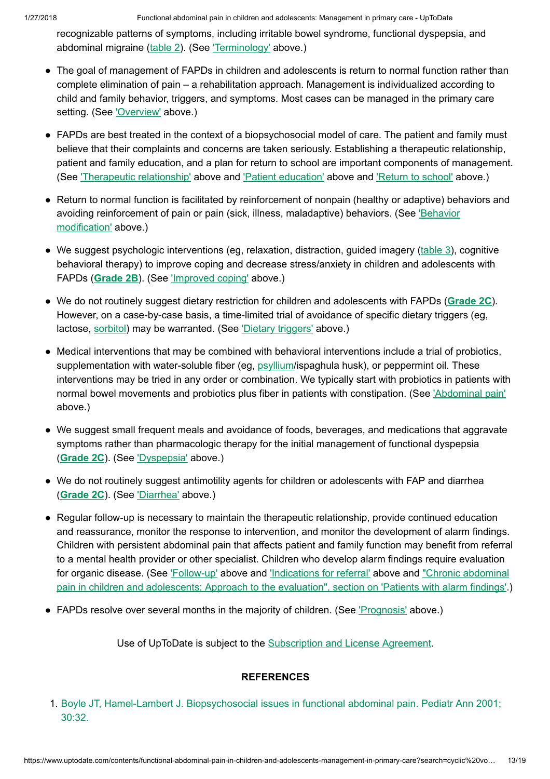recognizable patterns of symptoms, including irritable bowel syndrome, functional dyspepsia, and abdominal migraine ([table](https://www.uptodate.com/contents/image?imageKey=PEDS%2F71435&topicKey=PEDS%2F112&search=cyclic+vomiting+children&rank=7%7E22&source=see_link) 2). (See ['Terminology'](https://www.uptodate.com/contents/functional-abdominal-pain-in-children-and-adolescents-management-in-primary-care?search=cyclic%20vomiting%20children&source=search_result&selectedTitle=7~22&usage_type=default&display_rank=7#H79257292) above.)

- The goal of management of FAPDs in children and adolescents is return to normal function rather than complete elimination of pain – a rehabilitation approach. Management is individualized according to child and family behavior, triggers, and symptoms. Most cases can be managed in the primary care setting. (See ['Overview'](https://www.uptodate.com/contents/functional-abdominal-pain-in-children-and-adolescents-management-in-primary-care?search=cyclic%20vomiting%20children&source=search_result&selectedTitle=7~22&usage_type=default&display_rank=7#H79257661) above.)
- FAPDs are best treated in the context of a biopsychosocial model of care. The patient and family must believe that their complaints and concerns are taken seriously. Establishing a therapeutic relationship, patient and family education, and a plan for return to school are important components of management. (See ['Therapeutic](https://www.uptodate.com/contents/functional-abdominal-pain-in-children-and-adolescents-management-in-primary-care?search=cyclic%20vomiting%20children&source=search_result&selectedTitle=7~22&usage_type=default&display_rank=7#H3) relationship' above and 'Patient [education'](https://www.uptodate.com/contents/functional-abdominal-pain-in-children-and-adolescents-management-in-primary-care?search=cyclic%20vomiting%20children&source=search_result&selectedTitle=7~22&usage_type=default&display_rank=7#H4) above and ['Return](https://www.uptodate.com/contents/functional-abdominal-pain-in-children-and-adolescents-management-in-primary-care?search=cyclic%20vomiting%20children&source=search_result&selectedTitle=7~22&usage_type=default&display_rank=7#H255397623) to school' above.)
- Return to normal function is facilitated by reinforcement of nonpain (healthy or adaptive) behaviors and avoiding [reinforcement](https://www.uptodate.com/contents/functional-abdominal-pain-in-children-and-adolescents-management-in-primary-care?search=cyclic%20vomiting%20children&source=search_result&selectedTitle=7~22&usage_type=default&display_rank=7#H571383545) of pain or pain (sick, illness, maladaptive) behaviors. (See 'Behavior modification' above.)
- We suggest psychologic interventions (eg, relaxation, distraction, guided imagery [\(table](https://www.uptodate.com/contents/image?imageKey=PEDS%2F90731&topicKey=PEDS%2F112&search=cyclic+vomiting+children&rank=7%7E22&source=see_link) 3), cognitive behavioral therapy) to improve coping and decrease stress/anxiety in children and adolescents with FAPDs ([Grade](https://www.uptodate.com/contents/grade/5?title=Grade%202B&topicKey=PEDS/112) 2B). (See ['Improved](https://www.uptodate.com/contents/functional-abdominal-pain-in-children-and-adolescents-management-in-primary-care?search=cyclic%20vomiting%20children&source=search_result&selectedTitle=7~22&usage_type=default&display_rank=7#H255397635) coping' above.)
- We do not routinely suggest dietary restriction for children and adolescents with FAPDs ([Grade](https://www.uptodate.com/contents/grade/6?title=Grade%202C&topicKey=PEDS/112) 2C). However, on a case-by-case basis, a time-limited trial of avoidance of specific dietary triggers (eg, lactose, [sorbitol](https://www.uptodate.com/contents/sorbitol-pediatric-drug-information?source=see_link)) may be warranted. (See 'Dietary [triggers'](https://www.uptodate.com/contents/functional-abdominal-pain-in-children-and-adolescents-management-in-primary-care?search=cyclic%20vomiting%20children&source=search_result&selectedTitle=7~22&usage_type=default&display_rank=7#H495530705) above.)
- Medical interventions that may be combined with behavioral interventions include a trial of probiotics, supplementation with water-soluble fiber (eg, [psyllium/](https://www.uptodate.com/contents/psyllium-pediatric-drug-information?source=see_link)ispaghula husk), or peppermint oil. These interventions may be tried in any order or combination. We typically start with probiotics in patients with normal bowel movements and probiotics plus fiber in patients with constipation. (See ['Abdominal pain'](https://www.uptodate.com/contents/functional-abdominal-pain-in-children-and-adolescents-management-in-primary-care?search=cyclic%20vomiting%20children&source=search_result&selectedTitle=7~22&usage_type=default&display_rank=7#H285364821) above.)
- We suggest small frequent meals and avoidance of foods, beverages, and medications that aggravate symptoms rather than pharmacologic therapy for the initial management of functional dyspepsia ([Grade](https://www.uptodate.com/contents/grade/6?title=Grade%202C&topicKey=PEDS/112) 2C). (See ['Dyspepsia'](https://www.uptodate.com/contents/functional-abdominal-pain-in-children-and-adolescents-management-in-primary-care?search=cyclic%20vomiting%20children&source=search_result&selectedTitle=7~22&usage_type=default&display_rank=7#H67028274) above.)
- We do not routinely suggest antimotility agents for children or adolescents with FAP and diarrhea ([Grade](https://www.uptodate.com/contents/grade/6?title=Grade%202C&topicKey=PEDS/112) 2C). (See ['Diarrhea'](https://www.uptodate.com/contents/functional-abdominal-pain-in-children-and-adolescents-management-in-primary-care?search=cyclic%20vomiting%20children&source=search_result&selectedTitle=7~22&usage_type=default&display_rank=7#H67028309) above.)
- Regular follow-up is necessary to maintain the therapeutic relationship, provide continued education and reassurance, monitor the response to intervention, and monitor the development of alarm findings. Children with persistent abdominal pain that affects patient and family function may benefit from referral to a mental health provider or other specialist. Children who develop alarm findings require evaluation for organic disease. (See ['Follow-up'](https://www.uptodate.com/contents/functional-abdominal-pain-in-children-and-adolescents-management-in-primary-care?search=cyclic%20vomiting%20children&source=search_result&selectedTitle=7~22&usage_type=default&display_rank=7#H12) above and ['Indications](https://www.uptodate.com/contents/functional-abdominal-pain-in-children-and-adolescents-management-in-primary-care?search=cyclic%20vomiting%20children&source=search_result&selectedTitle=7~22&usage_type=default&display_rank=7#H13) for referral' above and "Chronic abdominal pain in children and [adolescents:](https://www.uptodate.com/contents/chronic-abdominal-pain-in-children-and-adolescents-approach-to-the-evaluation?sectionName=PATIENTS+WITH+ALARM+FINDINGS&anchor=H24&source=see_link#H24) Approach to the evaluation", section on 'Patients with alarm findings'.)
- FAPDs resolve over several months in the majority of children. (See ['Prognosis'](https://www.uptodate.com/contents/functional-abdominal-pain-in-children-and-adolescents-management-in-primary-care?search=cyclic%20vomiting%20children&source=search_result&selectedTitle=7~22&usage_type=default&display_rank=7#H15) above.)

Use of UpToDate is subject to the [Subscription](https://www.uptodate.com/legal/license) and License Agreement.

## **REFERENCES**

1. Boyle JT, Hamel-Lambert J. Biopsychosocial issues in [functional abdominal pain.](https://www.uptodate.com/contents/functional-abdominal-pain-in-children-and-adolescents-management-in-primary-care/abstract/1) Pediatr Ann 2001; 30:32.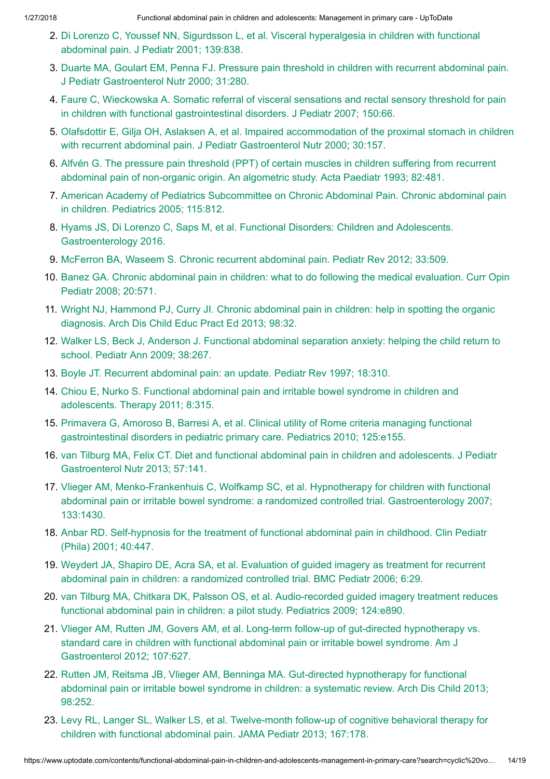- 2. Di Lorenzo C, Youssef NN, Sigurdsson L, et al. [Visceral hyperalgesia](https://www.uptodate.com/contents/functional-abdominal-pain-in-children-and-adolescents-management-in-primary-care/abstract/2) in children with functional abdominal pain. J Pediatr 2001; 139:838.
- 3. Duarte MA, Goulart EM, Penna FJ. Pressure pain threshold in children with recurrent abdominal pain. J Pediatr [Gastroenterol Nutr](https://www.uptodate.com/contents/functional-abdominal-pain-in-children-and-adolescents-management-in-primary-care/abstract/3) 2000; 31:280.
- 4. Faure C, Wieckowska A. Somatic referral of visceral sensations and rectal sensory threshold for pain in children with [functional gastrointestinal disorders.](https://www.uptodate.com/contents/functional-abdominal-pain-in-children-and-adolescents-management-in-primary-care/abstract/4) J Pediatr 2007; 150:66.
- 5. Olafsdottir E, Gilja OH, Aslaksen A, et al. Impaired accommodation of the proximal stomach in children with recurrent abdominal pain. J Pediatr [Gastroenterol Nutr](https://www.uptodate.com/contents/functional-abdominal-pain-in-children-and-adolescents-management-in-primary-care/abstract/5) 2000; 30:157.
- 6. Alfvén G. The pressure pain threshold (PPT) of certain muscles in children suffering from recurrent [abdominal pain](https://www.uptodate.com/contents/functional-abdominal-pain-in-children-and-adolescents-management-in-primary-care/abstract/6) of non-organic origin. An algometric study. Acta Paediatr 1993; 82:481.
- 7. American Academy of Pediatrics Subcommittee on Chronic [Abdominal Pain.](https://www.uptodate.com/contents/functional-abdominal-pain-in-children-and-adolescents-management-in-primary-care/abstract/7) Chronic abdominal pain in children. Pediatrics 2005; 115:812.
- 8. Hyams JS, Di Lorenzo C, Saps M, et al. [Functional Disorders:](https://www.uptodate.com/contents/functional-abdominal-pain-in-children-and-adolescents-management-in-primary-care/abstract/8) Children and Adolescents. Gastroenterology 2016.
- 9. McFerron BA, Waseem S. Chronic recurrent [abdominal pain.](https://www.uptodate.com/contents/functional-abdominal-pain-in-children-and-adolescents-management-in-primary-care/abstract/9) Pediatr Rev 2012; 33:509.
- 10. Banez GA. Chronic abdominal pain in children: what to do following the [medical evaluation.](https://www.uptodate.com/contents/functional-abdominal-pain-in-children-and-adolescents-management-in-primary-care/abstract/10) Curr Opin Pediatr 2008; 20:571.
- 11. Wright NJ, Hammond PJ, Curry JI. Chronic [abdominal pain](https://www.uptodate.com/contents/functional-abdominal-pain-in-children-and-adolescents-management-in-primary-care/abstract/11) in children: help in spotting the organic diagnosis. Arch Dis Child Educ Pract Ed 2013; 98:32.
- 12. Walker LS, Beck J, Anderson J. [Functional abdominal separation](https://www.uptodate.com/contents/functional-abdominal-pain-in-children-and-adolescents-management-in-primary-care/abstract/12) anxiety: helping the child return to school. Pediatr Ann 2009; 38:267.
- 13. Boyle JT. Recurrent [abdominal pain:](https://www.uptodate.com/contents/functional-abdominal-pain-in-children-and-adolescents-management-in-primary-care/abstract/13) an update. Pediatr Rev 1997; 18:310.
- 14. Chiou E, Nurko S. [Functional abdominal](https://www.uptodate.com/contents/functional-abdominal-pain-in-children-and-adolescents-management-in-primary-care/abstract/14) pain and irritable bowel syndrome in children and adolescents. Therapy 2011; 8:315.
- 15. Primavera G, Amoroso B, Barresi A, et al. Clinical utility of Rome criteria managing functional [gastrointestinal disorders](https://www.uptodate.com/contents/functional-abdominal-pain-in-children-and-adolescents-management-in-primary-care/abstract/15) in pediatric primary care. Pediatrics 2010; 125:e155.
- 16. van Tilburg MA, Felix CT. Diet and [functional abdominal pain](https://www.uptodate.com/contents/functional-abdominal-pain-in-children-and-adolescents-management-in-primary-care/abstract/16) in children and adolescents. J Pediatr Gastroenterol Nutr 2013; 57:141.
- 17. Vlieger AM, [Menko-Frankenhuis](https://www.uptodate.com/contents/functional-abdominal-pain-in-children-and-adolescents-management-in-primary-care/abstract/17) C, Wolfkamp SC, et al. Hypnotherapy for children with functional abdominal pain or irritable bowel syndrome: a randomized controlled trial. Gastroenterology 2007; 133:1430.
- 18. Anbar RD. Self-hypnosis for the treatment of [functional abdominal pain](https://www.uptodate.com/contents/functional-abdominal-pain-in-children-and-adolescents-management-in-primary-care/abstract/18) in childhood. Clin Pediatr (Phila) 2001; 40:447.
- 19. Weydert JA, Shapiro DE, Acra SA, et al. Evaluation of guided imagery as treatment for recurrent [abdominal pain](https://www.uptodate.com/contents/functional-abdominal-pain-in-children-and-adolescents-management-in-primary-care/abstract/19) in children: a randomized controlled trial. BMC Pediatr 2006; 6:29.
- 20. van Tilburg MA, Chitkara DK, Palsson OS, et al. Audio-recorded guided imagery treatment reduces [functional abdominal pain](https://www.uptodate.com/contents/functional-abdominal-pain-in-children-and-adolescents-management-in-primary-care/abstract/20) in children: a pilot study. Pediatrics 2009; 124:e890.
- 21. Vlieger AM, Rutten JM, Govers AM, et al. Long-term follow-up of gut-directed hypnotherapy vs. standard care in children with [functional abdominal pain](https://www.uptodate.com/contents/functional-abdominal-pain-in-children-and-adolescents-management-in-primary-care/abstract/21) or irritable bowel syndrome. Am J Gastroenterol 2012; 107:627.
- 22. Rutten JM, Reitsma JB, Vlieger AM, Benninga MA. Gut-directed hypnotherapy for functional abdominal pain or irritable [bowel syndrome](https://www.uptodate.com/contents/functional-abdominal-pain-in-children-and-adolescents-management-in-primary-care/abstract/22) in children: a systematic review. Arch Dis Child 2013; 98:252.
- 23. Levy RL, Langer SL, Walker LS, et al. Twelve-month follow-up of cognitive behavioral therapy for children with [functional abdominal pain.](https://www.uptodate.com/contents/functional-abdominal-pain-in-children-and-adolescents-management-in-primary-care/abstract/23) JAMA Pediatr 2013; 167:178.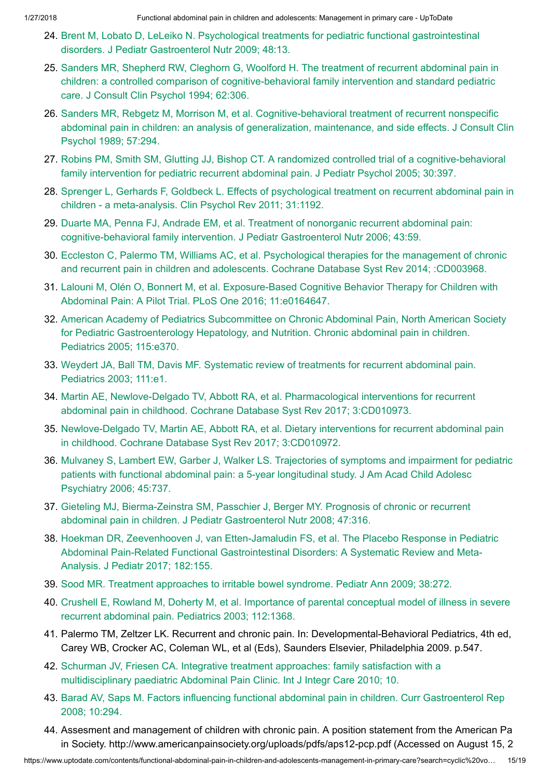- 24. Brent M, Lobato D, LeLeiko N. Psychological treatments for pediatric [functional gastrointestinal](https://www.uptodate.com/contents/functional-abdominal-pain-in-children-and-adolescents-management-in-primary-care/abstract/24) disorders. J Pediatr Gastroenterol Nutr 2009; 48:13.
- 25. Sanders MR, Shepherd RW, Cleghorn G, Woolford H. The treatment of recurrent abdominal pain in children: a controlled comparison of [cognitive-behavioral family](https://www.uptodate.com/contents/functional-abdominal-pain-in-children-and-adolescents-management-in-primary-care/abstract/25) intervention and standard pediatric care. J Consult Clin Psychol 1994; 62:306.
- 26. Sanders MR, Rebgetz M, Morrison M, et al. [Cognitive-behavioral treatment](https://www.uptodate.com/contents/functional-abdominal-pain-in-children-and-adolescents-management-in-primary-care/abstract/26) of recurrent nonspecific abdominal pain in children: an analysis of generalization, maintenance, and side effects. J Consult Clin Psychol 1989; 57:294.
- 27. Robins PM, Smith SM, Glutting JJ, Bishop CT. A randomized controlled trial of a [cognitive-behavioral](https://www.uptodate.com/contents/functional-abdominal-pain-in-children-and-adolescents-management-in-primary-care/abstract/27) family intervention for pediatric recurrent abdominal pain. J Pediatr Psychol 2005; 30:397.
- 28. Sprenger L, Gerhards F, Goldbeck L. Effects of [psychological treatment](https://www.uptodate.com/contents/functional-abdominal-pain-in-children-and-adolescents-management-in-primary-care/abstract/28) on recurrent abdominal pain in children - a meta-analysis. Clin Psychol Rev 2011; 31:1192.
- 29. Duarte MA, Penna FJ, Andrade EM, et al. Treatment of nonorganic recurrent abdominal pain: [cognitive-behavioral family](https://www.uptodate.com/contents/functional-abdominal-pain-in-children-and-adolescents-management-in-primary-care/abstract/29) intervention. J Pediatr Gastroenterol Nutr 2006; 43:59.
- 30. Eccleston C, Palermo TM, Williams AC, et al. [Psychological therapies](https://www.uptodate.com/contents/functional-abdominal-pain-in-children-and-adolescents-management-in-primary-care/abstract/30) for the management of chronic and recurrent pain in children and adolescents. Cochrane Database Syst Rev 2014; :CD003968.
- 31. Lalouni M, Olén O, Bonnert M, et al. [Exposure-Based](https://www.uptodate.com/contents/functional-abdominal-pain-in-children-and-adolescents-management-in-primary-care/abstract/31) Cognitive Behavior Therapy for Children with Abdominal Pain: A Pilot Trial. PLoS One 2016; 11:e0164647.
- 32. American Academy of Pediatrics Subcommittee on Chronic Abdominal Pain, North American Society for Pediatric [Gastroenterology](https://www.uptodate.com/contents/functional-abdominal-pain-in-children-and-adolescents-management-in-primary-care/abstract/32) Hepatology, and Nutrition. Chronic abdominal pain in children. Pediatrics 2005; 115:e370.
- 33. Weydert JA, Ball TM, Davis MF. Systematic review of treatments for recurrent [abdominal pain.](https://www.uptodate.com/contents/functional-abdominal-pain-in-children-and-adolescents-management-in-primary-care/abstract/33) Pediatrics 2003; 111:e1.
- 34. Martin AE, Newlove-Delgado TV, Abbott RA, et al. [Pharmacological interventions](https://www.uptodate.com/contents/functional-abdominal-pain-in-children-and-adolescents-management-in-primary-care/abstract/34) for recurrent abdominal pain in childhood. Cochrane Database Syst Rev 2017; 3:CD010973.
- 35. [Newlove-Delgado](https://www.uptodate.com/contents/functional-abdominal-pain-in-children-and-adolescents-management-in-primary-care/abstract/35) TV, Martin AE, Abbott RA, et al. Dietary interventions for recurrent abdominal pain in childhood. Cochrane Database Syst Rev 2017; 3:CD010972.
- 36. Mulvaney S, Lambert EW, Garber J, Walker LS. Trajectories of symptoms and impairment for pediatric patients with [functional abdominal pain:](https://www.uptodate.com/contents/functional-abdominal-pain-in-children-and-adolescents-management-in-primary-care/abstract/36) a 5-year longitudinal study. J Am Acad Child Adolesc Psychiatry 2006; 45:737.
- 37. Gieteling MJ, Bierma-Zeinstra SM, Passchier J, Berger MY. Prognosis of chronic or recurrent abdominal pain in children. J Pediatr [Gastroenterol Nutr](https://www.uptodate.com/contents/functional-abdominal-pain-in-children-and-adolescents-management-in-primary-care/abstract/37) 2008; 47:316.
- 38. Hoekman DR, Zeevenhooven J, van Etten-Jamaludin FS, et al. The Placebo Response in Pediatric Abdominal Pain-Related [Functional Gastrointestinal Disorders:](https://www.uptodate.com/contents/functional-abdominal-pain-in-children-and-adolescents-management-in-primary-care/abstract/38) A Systematic Review and Meta-Analysis. J Pediatr 2017; 182:155.
- 39. Sood MR. Treatment approaches to irritable [bowel syndrome.](https://www.uptodate.com/contents/functional-abdominal-pain-in-children-and-adolescents-management-in-primary-care/abstract/39) Pediatr Ann 2009; 38:272.
- 40. Crushell E, Rowland M, Doherty M, et al. Importance of [parental conceptual model of](https://www.uptodate.com/contents/functional-abdominal-pain-in-children-and-adolescents-management-in-primary-care/abstract/40) illness in severe recurrent abdominal pain. Pediatrics 2003; 112:1368.
- 41. Palermo TM, Zeltzer LK. Recurrent and chronic pain. In: Developmental-Behavioral Pediatrics, 4th ed, Carey WB, Crocker AC, Coleman WL, et al (Eds), Saunders Elsevier, Philadelphia 2009. p.547.
- 42. Schurman JV, Friesen CA. Integrative treatment approaches: family satisfaction with a [multidisciplinary](https://www.uptodate.com/contents/functional-abdominal-pain-in-children-and-adolescents-management-in-primary-care/abstract/42) paediatric Abdominal Pain Clinic. Int J Integr Care 2010; 10.
- 43. Barad AV, Saps M. Factors influencing [functional abdominal pain](https://www.uptodate.com/contents/functional-abdominal-pain-in-children-and-adolescents-management-in-primary-care/abstract/43) in children. Curr Gastroenterol Rep 2008; 10:294.
- 44. Assesment and management of children with chronic pain. A position statement from the American Pa in Society. http://www.americanpainsociety.org/uploads/pdfs/aps12-pcp.pdf (Accessed on August 15, 2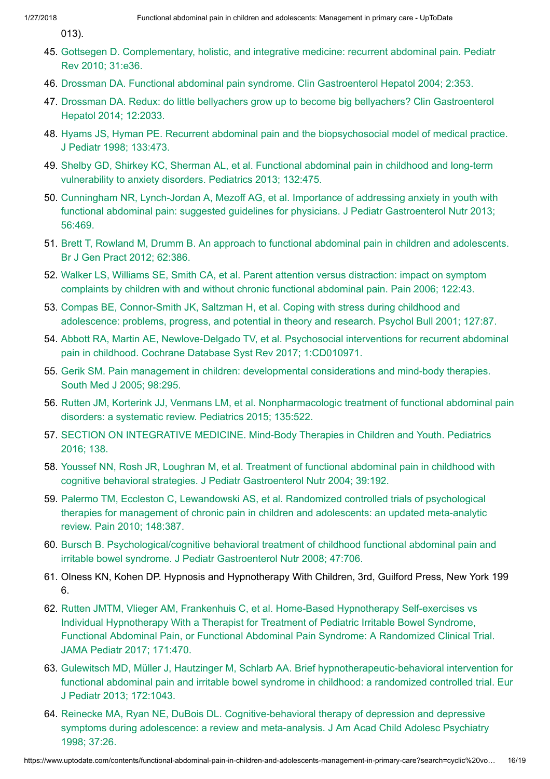013).

- 45. Gottsegen D. [Complementary,](https://www.uptodate.com/contents/functional-abdominal-pain-in-children-and-adolescents-management-in-primary-care/abstract/45) holistic, and integrative medicine: recurrent abdominal pain. Pediatr Rev 2010; 31:e36.
- 46. Drossman DA. Functional abdominal pain syndrome. Clin [Gastroenterol Hepatol 2004;](https://www.uptodate.com/contents/functional-abdominal-pain-in-children-and-adolescents-management-in-primary-care/abstract/46) 2:353.
- 47. Drossman DA. Redux: do little bellyachers grow up to become big bellyachers? Clin Gastroenterol [Hepatol 2014;](https://www.uptodate.com/contents/functional-abdominal-pain-in-children-and-adolescents-management-in-primary-care/abstract/47) 12:2033.
- 48. Hyams JS, Hyman PE. Recurrent abdominal pain and the [biopsychosocial model of](https://www.uptodate.com/contents/functional-abdominal-pain-in-children-and-adolescents-management-in-primary-care/abstract/48) medical practice. J Pediatr 1998; 133:473.
- 49. Shelby GD, Shirkey KC, Sherman AL, et al. [Functional abdominal pain](https://www.uptodate.com/contents/functional-abdominal-pain-in-children-and-adolescents-management-in-primary-care/abstract/49) in childhood and long-term vulnerability to anxiety disorders. Pediatrics 2013; 132:475.
- 50. Cunningham NR, Lynch-Jordan A, Mezoff AG, et al. Importance of addressing anxiety in youth with [functional abdominal pain:](https://www.uptodate.com/contents/functional-abdominal-pain-in-children-and-adolescents-management-in-primary-care/abstract/50) suggested guidelines for physicians. J Pediatr Gastroenterol Nutr 2013; 56:469.
- 51. Brett T, Rowland M, Drumm B. An approach to [functional abdominal pain](https://www.uptodate.com/contents/functional-abdominal-pain-in-children-and-adolescents-management-in-primary-care/abstract/51) in children and adolescents. Br J Gen Pract 2012; 62:386.
- 52. Walker LS, Williams SE, Smith CA, et al. Parent attention versus distraction: impact on symptom complaints by children with and without chronic [functional abdominal pain.](https://www.uptodate.com/contents/functional-abdominal-pain-in-children-and-adolescents-management-in-primary-care/abstract/52) Pain 2006; 122:43.
- 53. Compas BE, Connor-Smith JK, Saltzman H, et al. Coping with stress during childhood and adolescence: problems, progress, and potential in theory and research. [Psychol Bull 2001;](https://www.uptodate.com/contents/functional-abdominal-pain-in-children-and-adolescents-management-in-primary-care/abstract/53) 127:87.
- 54. Abbott RA, Martin AE, Newlove-Delgado TV, et al. [Psychosocial interventions](https://www.uptodate.com/contents/functional-abdominal-pain-in-children-and-adolescents-management-in-primary-care/abstract/54) for recurrent abdominal pain in childhood. Cochrane Database Syst Rev 2017; 1:CD010971.
- 55. Gerik SM. Pain management in children: [developmental considerations](https://www.uptodate.com/contents/functional-abdominal-pain-in-children-and-adolescents-management-in-primary-care/abstract/55) and mind-body therapies. South Med J 2005; 98:295.
- 56. Rutten JM, Korterink JJ, Venmans LM, et al. Nonpharmacologic treatment of [functional abdominal pain](https://www.uptodate.com/contents/functional-abdominal-pain-in-children-and-adolescents-management-in-primary-care/abstract/56) disorders: a systematic review. Pediatrics 2015; 135:522.
- 57. SECTION ON [INTEGRATIVE](https://www.uptodate.com/contents/functional-abdominal-pain-in-children-and-adolescents-management-in-primary-care/abstract/57) MEDICINE. Mind-Body Therapies in Children and Youth. Pediatrics 2016; 138.
- 58. Youssef NN, Rosh JR, Loughran M, et al. Treatment of [functional abdominal pain](https://www.uptodate.com/contents/functional-abdominal-pain-in-children-and-adolescents-management-in-primary-care/abstract/58) in childhood with cognitive behavioral strategies. J Pediatr Gastroenterol Nutr 2004; 39:192.
- 59. Palermo TM, Eccleston C, [Lewandowski AS,](https://www.uptodate.com/contents/functional-abdominal-pain-in-children-and-adolescents-management-in-primary-care/abstract/59) et al. Randomized controlled trials of psychological therapies for management of chronic pain in children and adolescents: an updated meta-analytic review. Pain 2010; 148:387.
- 60. Bursch B. Psychological/cognitive behavioral treatment of childhood [functional abdominal pain](https://www.uptodate.com/contents/functional-abdominal-pain-in-children-and-adolescents-management-in-primary-care/abstract/60) and irritable bowel syndrome. J Pediatr Gastroenterol Nutr 2008; 47:706.
- 61. Olness KN, Kohen DP. Hypnosis and Hypnotherapy With Children, 3rd, Guilford Press, New York 199 6.
- 62. Rutten JMTM, Vlieger AM, Frankenhuis C, et al. Home-Based Hypnotherapy Self-exercises vs Individual Hypnotherapy With a Therapist for Treatment of Pediatric Irritable Bowel Syndrome, [Functional Abdominal Pain,](https://www.uptodate.com/contents/functional-abdominal-pain-in-children-and-adolescents-management-in-primary-care/abstract/62) or Functional Abdominal Pain Syndrome: A Randomized Clinical Trial. JAMA Pediatr 2017; 171:470.
- 63. Gulewitsch MD, Müller J, Hautzinger M, Schlarb AA. Brief [hypnotherapeutic-behavioral intervention](https://www.uptodate.com/contents/functional-abdominal-pain-in-children-and-adolescents-management-in-primary-care/abstract/63) for functional abdominal pain and irritable bowel syndrome in childhood: a randomized controlled trial. Eur J Pediatr 2013; 172:1043.
- 64. Reinecke MA, Ryan NE, DuBois DL. [Cognitive-behavioral therapy](https://www.uptodate.com/contents/functional-abdominal-pain-in-children-and-adolescents-management-in-primary-care/abstract/64) of depression and depressive symptoms during adolescence: a review and meta-analysis. J Am Acad Child Adolesc Psychiatry 1998; 37:26.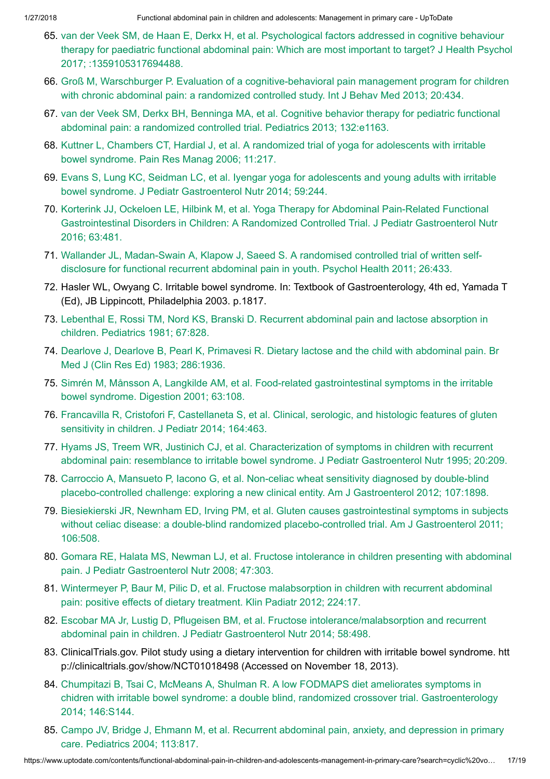- 65. van der Veek SM, de Haan E, Derkx H, et al. Psychological factors addressed in cognitive behaviour therapy for paediatric [functional abdominal pain:](https://www.uptodate.com/contents/functional-abdominal-pain-in-children-and-adolescents-management-in-primary-care/abstract/65) Which are most important to target? J Health Psychol 2017; :1359105317694488.
- 66. Groß M, Warschburger P. Evaluation of a [cognitive-behavioral pain](https://www.uptodate.com/contents/functional-abdominal-pain-in-children-and-adolescents-management-in-primary-care/abstract/66) management program for children with chronic abdominal pain: a randomized controlled study. Int J Behav Med 2013; 20:434.
- 67. van der Veek SM, Derkx BH, Benninga MA, et al. Cognitive behavior therapy for pediatric functional [abdominal pain:](https://www.uptodate.com/contents/functional-abdominal-pain-in-children-and-adolescents-management-in-primary-care/abstract/67) a randomized controlled trial. Pediatrics 2013; 132:e1163.
- 68. Kuttner L, Chambers CT, Hardial J, et al. A randomized trial of yoga for adolescents with irritable [bowel syndrome.](https://www.uptodate.com/contents/functional-abdominal-pain-in-children-and-adolescents-management-in-primary-care/abstract/68) Pain Res Manag 2006; 11:217.
- 69. Evans S, Lung KC, Seidman LC, et al. Iyengar yoga for adolescents and young adults with irritable bowel syndrome. J Pediatr [Gastroenterol Nutr](https://www.uptodate.com/contents/functional-abdominal-pain-in-children-and-adolescents-management-in-primary-care/abstract/69) 2014; 59:244.
- 70. Korterink JJ, Ockeloen LE, Hilbink M, et al. Yoga Therapy for Abdominal Pain-Related Functional [Gastrointestinal Disorders](https://www.uptodate.com/contents/functional-abdominal-pain-in-children-and-adolescents-management-in-primary-care/abstract/70) in Children: A Randomized Controlled Trial. J Pediatr Gastroenterol Nutr 2016; 63:481.
- 71. Wallander JL, Madan-Swain A, Klapow J, Saeed S. A randomised controlled trial of written selfdisclosure for [functional recurrent](https://www.uptodate.com/contents/functional-abdominal-pain-in-children-and-adolescents-management-in-primary-care/abstract/71) abdominal pain in youth. Psychol Health 2011; 26:433.
- 72. Hasler WL, Owyang C. Irritable bowel syndrome. In: Textbook of Gastroenterology, 4th ed, Yamada T (Ed), JB Lippincott, Philadelphia 2003. p.1817.
- 73. Lebenthal E, Rossi TM, Nord KS, Branski D. Recurrent [abdominal pain](https://www.uptodate.com/contents/functional-abdominal-pain-in-children-and-adolescents-management-in-primary-care/abstract/73) and lactose absorption in children. Pediatrics 1981; 67:828.
- 74. Dearlove J, Dearlove B, Pearl K, Primavesi R. Dietary lactose and the child with [abdominal pain.](https://www.uptodate.com/contents/functional-abdominal-pain-in-children-and-adolescents-management-in-primary-care/abstract/74) Br Med J (Clin Res Ed) 1983; 286:1936.
- 75. Simrén M, Månsson A, Langkilde AM, et al. Food-related [gastrointestinal symptoms](https://www.uptodate.com/contents/functional-abdominal-pain-in-children-and-adolescents-management-in-primary-care/abstract/75) in the irritable bowel syndrome. Digestion 2001; 63:108.
- 76. Francavilla R, Cristofori F, [Castellaneta](https://www.uptodate.com/contents/functional-abdominal-pain-in-children-and-adolescents-management-in-primary-care/abstract/76) S, et al. Clinical, serologic, and histologic features of gluten sensitivity in children. J Pediatr 2014; 164:463.
- 77. Hyams JS, Treem WR, Justinich CJ, et al. Characterization of symptoms in children with recurrent abdominal pain: resemblance to irritable bowel syndrome. J Pediatr [Gastroenterol Nutr](https://www.uptodate.com/contents/functional-abdominal-pain-in-children-and-adolescents-management-in-primary-care/abstract/77) 1995; 20:209.
- 78. Carroccio A, Mansueto P, Iacono G, et al. Non-celiac wheat sensitivity diagnosed by double-blind placebo-controlled challenge: exploring a new clinical entity. Am J [Gastroenterol 2012;](https://www.uptodate.com/contents/functional-abdominal-pain-in-children-and-adolescents-management-in-primary-care/abstract/78) 107:1898.
- 79. Biesiekierski JR, Newnham ED, Irving PM, et al. Gluten causes [gastrointestinal symptoms](https://www.uptodate.com/contents/functional-abdominal-pain-in-children-and-adolescents-management-in-primary-care/abstract/79) in subjects without celiac disease: a double-blind randomized placebo-controlled trial. Am J Gastroenterol 2011; 106:508.
- 80. Gomara RE, Halata MS, Newman LJ, et al. Fructose intolerance in children presenting with abdominal pain. J Pediatr [Gastroenterol Nutr](https://www.uptodate.com/contents/functional-abdominal-pain-in-children-and-adolescents-management-in-primary-care/abstract/80) 2008; 47:303.
- 81. Wintermeyer P, Baur M, Pilic D, et al. Fructose [malabsorption](https://www.uptodate.com/contents/functional-abdominal-pain-in-children-and-adolescents-management-in-primary-care/abstract/81) in children with recurrent abdominal pain: positive effects of dietary treatment. Klin Padiatr 2012; 224:17.
- 82. Escobar MA Jr, Lustig D, Pflugeisen BM, et al. Fructose [intolerance/malabsorption](https://www.uptodate.com/contents/functional-abdominal-pain-in-children-and-adolescents-management-in-primary-care/abstract/82) and recurrent abdominal pain in children. J Pediatr Gastroenterol Nutr 2014; 58:498.
- 83. ClinicalTrials.gov. Pilot study using a dietary intervention for children with irritable bowel syndrome. htt p://clinicaltrials.gov/show/NCT01018498 (Accessed on November 18, 2013).
- 84. Chumpitazi B, Tsai C, McMeans A, Shulman R. A low FODMAPS diet ameliorates symptoms in chidren with irritable bowel syndrome: a double blind, randomized crossover trial. [Gastroenterology](https://www.uptodate.com/contents/functional-abdominal-pain-in-children-and-adolescents-management-in-primary-care/abstract/84) 2014; 146:S144.
- 85. Campo JV, Bridge J, Ehmann M, et al. Recurrent [abdominal pain,](https://www.uptodate.com/contents/functional-abdominal-pain-in-children-and-adolescents-management-in-primary-care/abstract/85) anxiety, and depression in primary care. Pediatrics 2004; 113:817.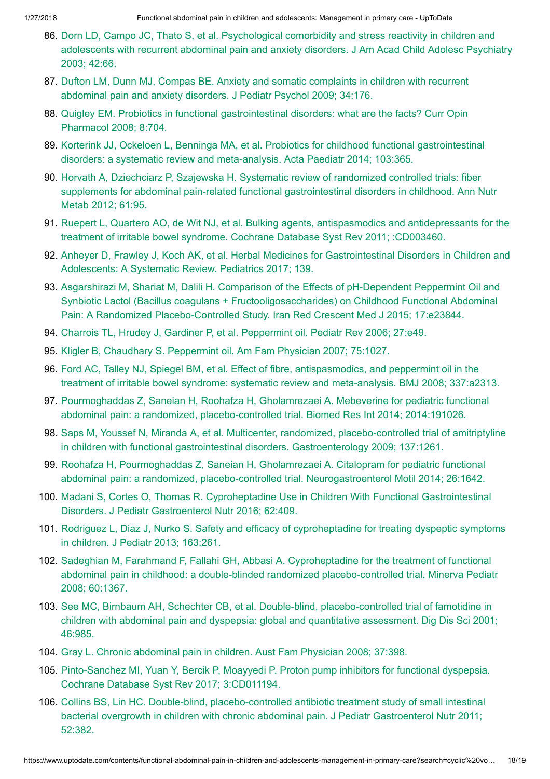- 86. Dorn LD, Campo JC, Thato S, et al. [Psychological comorbidity](https://www.uptodate.com/contents/functional-abdominal-pain-in-children-and-adolescents-management-in-primary-care/abstract/86) and stress reactivity in children and adolescents with recurrent abdominal pain and anxiety disorders. J Am Acad Child Adolesc Psychiatry 2003; 42:66.
- 87. Dufton LM, Dunn MJ, Compas BE. Anxiety and somatic complaints in children with recurrent [abdominal pain](https://www.uptodate.com/contents/functional-abdominal-pain-in-children-and-adolescents-management-in-primary-care/abstract/87) and anxiety disorders. J Pediatr Psychol 2009; 34:176.
- 88. Quigley EM. Probiotics in [functional gastrointestinal disorders:](https://www.uptodate.com/contents/functional-abdominal-pain-in-children-and-adolescents-management-in-primary-care/abstract/88) what are the facts? Curr Opin Pharmacol 2008; 8:704.
- 89. Korterink JJ, Ockeloen L, Benninga MA, et al. Probiotics for childhood [functional gastrointestinal](https://www.uptodate.com/contents/functional-abdominal-pain-in-children-and-adolescents-management-in-primary-care/abstract/89) disorders: a systematic review and meta-analysis. Acta Paediatr 2014; 103:365.
- 90. Horvath A, Dziechciarz P, Szajewska H. Systematic review of randomized controlled trials: fiber supplements for abdominal pain-related [functional gastrointestinal disorders](https://www.uptodate.com/contents/functional-abdominal-pain-in-children-and-adolescents-management-in-primary-care/abstract/90) in childhood. Ann Nutr Metab 2012; 61:95.
- 91. Ruepert L, Quartero AO, de Wit NJ, et al. Bulking agents, antispasmodics and antidepressants for the treatment of irritable [bowel syndrome.](https://www.uptodate.com/contents/functional-abdominal-pain-in-children-and-adolescents-management-in-primary-care/abstract/91) Cochrane Database Syst Rev 2011; :CD003460.
- 92. Anheyer D, Frawley J, Koch AK, et al. Herbal Medicines for [Gastrointestinal Disorders](https://www.uptodate.com/contents/functional-abdominal-pain-in-children-and-adolescents-management-in-primary-care/abstract/92) in Children and Adolescents: A Systematic Review. Pediatrics 2017; 139.
- 93. Asgarshirazi M, Shariat M, Dalili H. Comparison of the Effects of pH-Dependent Peppermint Oil and Synbiotic Lactol (Bacillus coagulans + [Fructooligosaccharides\)](https://www.uptodate.com/contents/functional-abdominal-pain-in-children-and-adolescents-management-in-primary-care/abstract/93) on Childhood Functional Abdominal Pain: A Randomized Placebo-Controlled Study. Iran Red Crescent Med J 2015; 17:e23844.
- 94. Charrois TL, Hrudey J, Gardiner P, et al. [Peppermint](https://www.uptodate.com/contents/functional-abdominal-pain-in-children-and-adolescents-management-in-primary-care/abstract/94) oil. Pediatr Rev 2006; 27:e49.
- 95. Kligler B, Chaudhary S. [Peppermint](https://www.uptodate.com/contents/functional-abdominal-pain-in-children-and-adolescents-management-in-primary-care/abstract/95) oil. Am Fam Physician 2007; 75:1027.
- 96. Ford AC, Talley NJ, Spiegel BM, et al. Effect of fibre, antispasmodics, and peppermint oil in the treatment of irritable [bowel syndrome:](https://www.uptodate.com/contents/functional-abdominal-pain-in-children-and-adolescents-management-in-primary-care/abstract/96) systematic review and meta-analysis. BMJ 2008; 337:a2313.
- 97. Pourmoghaddas Z, Saneian H, Roohafza H, Gholamrezaei A. Mebeverine for pediatric functional abdominal pain: a randomized, [placebo-controlled](https://www.uptodate.com/contents/functional-abdominal-pain-in-children-and-adolescents-management-in-primary-care/abstract/97) trial. Biomed Res Int 2014; 2014:191026.
- 98. Saps M, Youssef N, Miranda A, et al. Multicenter, randomized, placebo-controlled trial of amitriptyline in children with [functional gastrointestinal disorders.](https://www.uptodate.com/contents/functional-abdominal-pain-in-children-and-adolescents-management-in-primary-care/abstract/98) Gastroenterology 2009; 137:1261.
- 99. Roohafza H, Pourmoghaddas Z, Saneian H, Gholamrezaei A. Citalopram for pediatric functional abdominal pain: a randomized, placebo-controlled trial. [Neurogastroenterol Motil 2014;](https://www.uptodate.com/contents/functional-abdominal-pain-in-children-and-adolescents-management-in-primary-care/abstract/99) 26:1642.
- 100. Madani S, Cortes O, Thomas R. Cyproheptadine Use in Children With [Functional Gastrointestinal](https://www.uptodate.com/contents/functional-abdominal-pain-in-children-and-adolescents-management-in-primary-care/abstract/100) Disorders. J Pediatr Gastroenterol Nutr 2016; 62:409.
- 101. Rodriguez L, Diaz J, Nurko S. Safety and efficacy of [cyproheptadine](https://www.uptodate.com/contents/functional-abdominal-pain-in-children-and-adolescents-management-in-primary-care/abstract/101) for treating dyspeptic symptoms in children. J Pediatr 2013; 163:261.
- 102. Sadeghian M, Farahmand F, Fallahi GH, Abbasi A. Cyproheptadine for the treatment of functional abdominal pain in childhood: a double-blinded randomized [placebo-controlled](https://www.uptodate.com/contents/functional-abdominal-pain-in-children-and-adolescents-management-in-primary-care/abstract/102) trial. Minerva Pediatr 2008; 60:1367.
- 103. See MC, Birnbaum AH, Schechter CB, et al. Double-blind, [placebo-controlled](https://www.uptodate.com/contents/functional-abdominal-pain-in-children-and-adolescents-management-in-primary-care/abstract/103) trial of famotidine in children with abdominal pain and dyspepsia: global and quantitative assessment. Dig Dis Sci 2001; 46:985.
- 104. Gray L. Chronic [abdominal pain](https://www.uptodate.com/contents/functional-abdominal-pain-in-children-and-adolescents-management-in-primary-care/abstract/104) in children. Aust Fam Physician 2008; 37:398.
- 105. Pinto-Sanchez MI, Yuan Y, Bercik P, Moayyedi P. Proton pump inhibitors for [functional dyspepsia.](https://www.uptodate.com/contents/functional-abdominal-pain-in-children-and-adolescents-management-in-primary-care/abstract/105) Cochrane Database Syst Rev 2017; 3:CD011194.
- 106. Collins BS, Lin HC. Double-blind, placebo-controlled antibiotic treatment study of small intestinal [bacterial overgrowth](https://www.uptodate.com/contents/functional-abdominal-pain-in-children-and-adolescents-management-in-primary-care/abstract/106) in children with chronic abdominal pain. J Pediatr Gastroenterol Nutr 2011; 52:382.